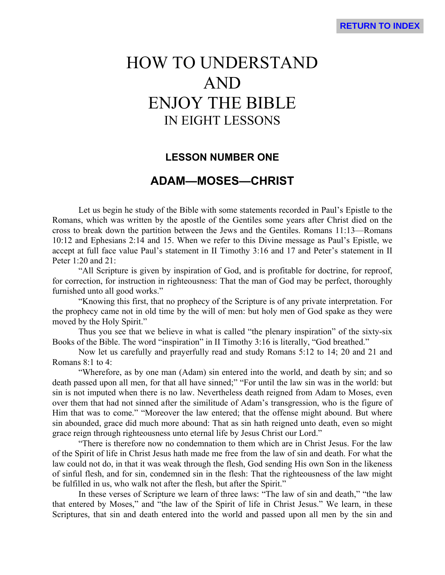# HOW TO UNDERSTAND AND ENJOY THE BIBLE IN EIGHT LESSONS

# **LESSON NUMBER ONE**

# **ADAM—MOSES—CHRIST**

Let us begin he study of the Bible with some statements recorded in Paul's Epistle to the Romans, which was written by the apostle of the Gentiles some years after Christ died on the cross to break down the partition between the Jews and the Gentiles. Romans 11:13—Romans 10:12 and Ephesians 2:14 and 15. When we refer to this Divine message as Paul's Epistle, we accept at full face value Paul's statement in II Timothy 3:16 and 17 and Peter's statement in II Peter 1:20 and 21:

"All Scripture is given by inspiration of God, and is profitable for doctrine, for reproof, for correction, for instruction in righteousness: That the man of God may be perfect, thoroughly furnished unto all good works."

"Knowing this first, that no prophecy of the Scripture is of any private interpretation. For the prophecy came not in old time by the will of men: but holy men of God spake as they were moved by the Holy Spirit."

Thus you see that we believe in what is called "the plenary inspiration" of the sixty-six Books of the Bible. The word "inspiration" in II Timothy 3:16 is literally, "God breathed."

Now let us carefully and prayerfully read and study Romans 5:12 to 14; 20 and 21 and Romans 8:1 to 4:

"Wherefore, as by one man (Adam) sin entered into the world, and death by sin; and so death passed upon all men, for that all have sinned;" "For until the law sin was in the world: but sin is not imputed when there is no law. Nevertheless death reigned from Adam to Moses, even over them that had not sinned after the similitude of Adam's transgression, who is the figure of Him that was to come." "Moreover the law entered; that the offense might abound. But where sin abounded, grace did much more abound: That as sin hath reigned unto death, even so might grace reign through righteousness unto eternal life by Jesus Christ our Lord."

"There is therefore now no condemnation to them which are in Christ Jesus. For the law of the Spirit of life in Christ Jesus hath made me free from the law of sin and death. For what the law could not do, in that it was weak through the flesh, God sending His own Son in the likeness of sinful flesh, and for sin, condemned sin in the flesh: That the righteousness of the law might be fulfilled in us, who walk not after the flesh, but after the Spirit."

In these verses of Scripture we learn of three laws: "The law of sin and death," "the law that entered by Moses," and "the law of the Spirit of life in Christ Jesus." We learn, in these Scriptures, that sin and death entered into the world and passed upon all men by the sin and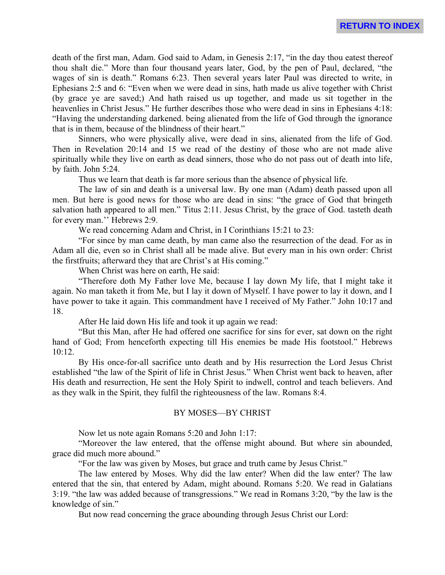death of the first man, Adam. God said to Adam, in Genesis 2:17, "in the day thou eatest thereof thou shalt die." More than four thousand years later, God, by the pen of Paul, declared, "the wages of sin is death." Romans 6:23. Then several years later Paul was directed to write, in Ephesians 2:5 and 6: "Even when we were dead in sins, hath made us alive together with Christ (by grace ye are saved;) And hath raised us up together, and made us sit together in the heavenlies in Christ Jesus." He further describes those who were dead in sins in Ephesians 4:18: "Having the understanding darkened. being alienated from the life of God through the ignorance that is in them, because of the blindness of their heart."

Sinners, who were physically alive, were dead in sins, alienated from the life of God. Then in Revelation 20:14 and 15 we read of the destiny of those who are not made alive spiritually while they live on earth as dead sinners, those who do not pass out of death into life, by faith. John 5:24.

Thus we learn that death is far more serious than the absence of physical life.

The law of sin and death is a universal law. By one man (Adam) death passed upon all men. But here is good news for those who are dead in sins: "the grace of God that bringeth salvation hath appeared to all men." Titus 2:11. Jesus Christ, by the grace of God. tasteth death for every man.'' Hebrews 2:9.

We read concerning Adam and Christ, in I Corinthians 15:21 to 23:

"For since by man came death, by man came also the resurrection of the dead. For as in Adam all die, even so in Christ shall all be made alive. But every man in his own order: Christ the firstfruits; afterward they that are Christ's at His coming."

When Christ was here on earth, He said:

"Therefore doth My Father love Me, because I lay down My life, that I might take it again. No man taketh it from Me, but I lay it down of Myself. I have power to lay it down, and I have power to take it again. This commandment have I received of My Father." John 10:17 and 18.

After He laid down His life and took it up again we read:

"But this Man, after He had offered one sacrifice for sins for ever, sat down on the right hand of God; From henceforth expecting till His enemies be made His footstool." Hebrews 10:12.

By His once-for-all sacrifice unto death and by His resurrection the Lord Jesus Christ established "the law of the Spirit of life in Christ Jesus." When Christ went back to heaven, after His death and resurrection, He sent the Holy Spirit to indwell, control and teach believers. And as they walk in the Spirit, they fulfil the righteousness of the law. Romans 8:4.

#### BY MOSES—BY CHRIST

Now let us note again Romans 5:20 and John 1:17:

"Moreover the law entered, that the offense might abound. But where sin abounded, grace did much more abound."

"For the law was given by Moses, but grace and truth came by Jesus Christ."

The law entered by Moses. Why did the law enter? When did the law enter? The law entered that the sin, that entered by Adam, might abound. Romans 5:20. We read in Galatians 3:19. "the law was added because of transgressions." We read in Romans 3:20, "by the law is the knowledge of sin."

But now read concerning the grace abounding through Jesus Christ our Lord: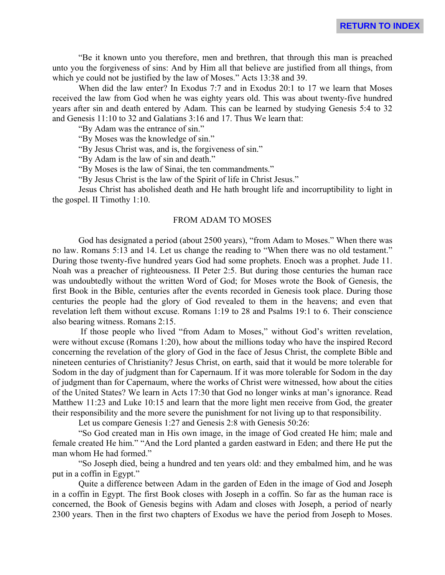"Be it known unto you therefore, men and brethren, that through this man is preached unto you the forgiveness of sins: And by Him all that believe are justified from all things, from which ye could not be justified by the law of Moses." Acts 13:38 and 39.

When did the law enter? In Exodus 7:7 and in Exodus 20:1 to 17 we learn that Moses received the law from God when he was eighty years old. This was about twenty-five hundred years after sin and death entered by Adam. This can be learned by studying Genesis 5:4 to 32 and Genesis 11:10 to 32 and Galatians 3:16 and 17. Thus We learn that:

"By Adam was the entrance of sin."

"By Moses was the knowledge of sin."

"By Jesus Christ was, and is, the forgiveness of sin."

"By Adam is the law of sin and death."

"By Moses is the law of Sinai, the ten commandments."

"By Jesus Christ is the law of the Spirit of life in Christ Jesus."

Jesus Christ has abolished death and He hath brought life and incorruptibility to light in the gospel. II Timothy 1:10.

#### FROM ADAM TO MOSES

God has designated a period (about 2500 years), "from Adam to Moses." When there was no law. Romans 5:13 and 14. Let us change the reading to "When there was no old testament." During those twenty-five hundred years God had some prophets. Enoch was a prophet. Jude 11. Noah was a preacher of righteousness. II Peter 2:5. But during those centuries the human race was undoubtedly without the written Word of God; for Moses wrote the Book of Genesis, the first Book in the Bible, centuries after the events recorded in Genesis took place. During those centuries the people had the glory of God revealed to them in the heavens; and even that revelation left them without excuse. Romans 1:19 to 28 and Psalms 19:1 to 6. Their conscience also bearing witness. Romans 2:15.

 If those people who lived "from Adam to Moses," without God's written revelation, were without excuse (Romans 1:20), how about the millions today who have the inspired Record concerning the revelation of the glory of God in the face of Jesus Christ, the complete Bible and nineteen centuries of Christianity? Jesus Christ, on earth, said that it would be more tolerable for Sodom in the day of judgment than for Capernaum. If it was more tolerable for Sodom in the day of judgment than for Capernaum, where the works of Christ were witnessed, how about the cities of the United States? We learn in Acts 17:30 that God no longer winks at man's ignorance. Read Matthew 11:23 and Luke 10:15 and learn that the more light men receive from God, the greater their responsibility and the more severe the punishment for not living up to that responsibility.

Let us compare Genesis 1:27 and Genesis 2:8 with Genesis 50:26:

"So God created man in His own image, in the image of God created He him; male and female created He him." "And the Lord planted a garden eastward in Eden; and there He put the man whom He had formed."

"So Joseph died, being a hundred and ten years old: and they embalmed him, and he was put in a coffin in Egypt."

Quite a difference between Adam in the garden of Eden in the image of God and Joseph in a coffin in Egypt. The first Book closes with Joseph in a coffin. So far as the human race is concerned, the Book of Genesis begins with Adam and closes with Joseph, a period of nearly 2300 years. Then in the first two chapters of Exodus we have the period from Joseph to Moses.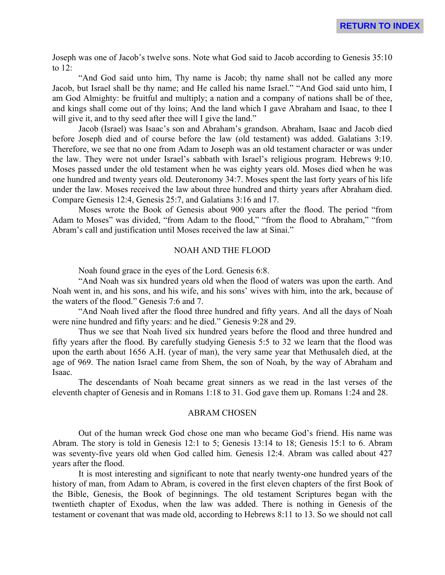Joseph was one of Jacob's twelve sons. Note what God said to Jacob according to Genesis 35:10 to 12:

"And God said unto him, Thy name is Jacob; thy name shall not be called any more Jacob, but Israel shall be thy name; and He called his name Israel." "And God said unto him, I am God Almighty: be fruitful and multiply; a nation and a company of nations shall be of thee, and kings shall come out of thy loins; And the land which I gave Abraham and Isaac, to thee I will give it, and to thy seed after thee will I give the land."

Jacob (Israel) was Isaac's son and Abraham's grandson. Abraham, Isaac and Jacob died before Joseph died and of course before the law (old testament) was added. Galatians 3:19. Therefore, we see that no one from Adam to Joseph was an old testament character or was under the law. They were not under Israel's sabbath with Israel's religious program. Hebrews 9:10. Moses passed under the old testament when he was eighty years old. Moses died when he was one hundred and twenty years old. Deuteronomy 34:7. Moses spent the last forty years of his life under the law. Moses received the law about three hundred and thirty years after Abraham died. Compare Genesis 12:4, Genesis 25:7, and Galatians 3:16 and 17.

Moses wrote the Book of Genesis about 900 years after the flood. The period "from Adam to Moses" was divided, "from Adam to the flood," "from the flood to Abraham," "from Abram's call and justification until Moses received the law at Sinai."

#### NOAH AND THE FLOOD

Noah found grace in the eyes of the Lord. Genesis 6:8.

"And Noah was six hundred years old when the flood of waters was upon the earth. And Noah went in, and his sons, and his wife, and his sons' wives with him, into the ark, because of the waters of the flood." Genesis 7:6 and 7.

"And Noah lived after the flood three hundred and fifty years. And all the days of Noah were nine hundred and fifty years: and he died." Genesis 9:28 and 29.

Thus we see that Noah lived six hundred years before the flood and three hundred and fifty years after the flood. By carefully studying Genesis 5:5 to 32 we learn that the flood was upon the earth about 1656 A.H. (year of man), the very same year that Methusaleh died, at the age of 969. The nation Israel came from Shem, the son of Noah, by the way of Abraham and Isaac.

The descendants of Noah became great sinners as we read in the last verses of the eleventh chapter of Genesis and in Romans 1:18 to 31. God gave them up. Romans 1:24 and 28.

#### ABRAM CHOSEN

Out of the human wreck God chose one man who became God's friend. His name was Abram. The story is told in Genesis 12:1 to 5; Genesis 13:14 to 18; Genesis 15:1 to 6. Abram was seventy-five years old when God called him. Genesis 12:4. Abram was called about 427 years after the flood.

It is most interesting and significant to note that nearly twenty-one hundred years of the history of man, from Adam to Abram, is covered in the first eleven chapters of the first Book of the Bible, Genesis, the Book of beginnings. The old testament Scriptures began with the twentieth chapter of Exodus, when the law was added. There is nothing in Genesis of the testament or covenant that was made old, according to Hebrews 8:11 to 13. So we should not call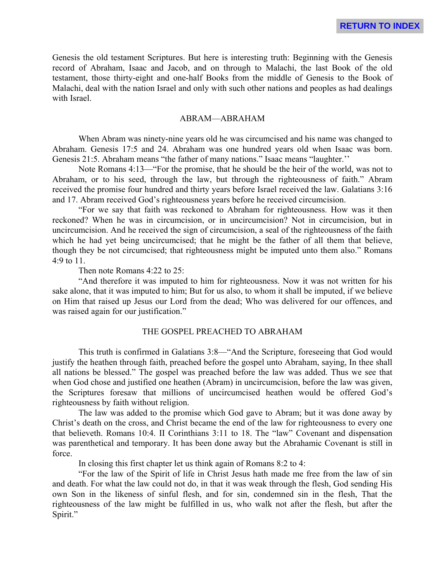Genesis the old testament Scriptures. But here is interesting truth: Beginning with the Genesis record of Abraham, Isaac and Jacob, and on through to Malachi, the last Book of the old testament, those thirty-eight and one-half Books from the middle of Genesis to the Book of Malachi, deal with the nation Israel and only with such other nations and peoples as had dealings with Israel.

#### ABRAM—ABRAHAM

When Abram was ninety-nine years old he was circumcised and his name was changed to Abraham. Genesis 17:5 and 24. Abraham was one hundred years old when Isaac was born. Genesis 21:5. Abraham means "the father of many nations." Isaac means "laughter.''

Note Romans 4:13—"For the promise, that he should be the heir of the world, was not to Abraham, or to his seed, through the law, but through the righteousness of faith." Abram received the promise four hundred and thirty years before Israel received the law. Galatians 3:16 and 17. Abram received God's righteousness years before he received circumcision.

"For we say that faith was reckoned to Abraham for righteousness. How was it then reckoned? When he was in circumcision, or in uncircumcision? Not in circumcision, but in uncircumcision. And he received the sign of circumcision, a seal of the righteousness of the faith which he had yet being uncircumcised; that he might be the father of all them that believe, though they be not circumcised; that righteousness might be imputed unto them also." Romans 4:9 to 11.

Then note Romans 4:22 to 25:

"And therefore it was imputed to him for righteousness. Now it was not written for his sake alone, that it was imputed to him; But for us also, to whom it shall be imputed, if we believe on Him that raised up Jesus our Lord from the dead; Who was delivered for our offences, and was raised again for our justification."

### THE GOSPEL PREACHED TO ABRAHAM

This truth is confirmed in Galatians 3:8—"And the Scripture, foreseeing that God would justify the heathen through faith, preached before the gospel unto Abraham, saying, In thee shall all nations be blessed." The gospel was preached before the law was added. Thus we see that when God chose and justified one heathen (Abram) in uncircumcision, before the law was given, the Scriptures foresaw that millions of uncircumcised heathen would be offered God's righteousness by faith without religion.

The law was added to the promise which God gave to Abram; but it was done away by Christ's death on the cross, and Christ became the end of the law for righteousness to every one that believeth. Romans 10:4. II Corinthians 3:11 to 18. The "law" Covenant and dispensation was parenthetical and temporary. It has been done away but the Abrahamic Covenant is still in force.

In closing this first chapter let us think again of Romans 8:2 to 4:

"For the law of the Spirit of life in Christ Jesus hath made me free from the law of sin and death. For what the law could not do, in that it was weak through the flesh, God sending His own Son in the likeness of sinful flesh, and for sin, condemned sin in the flesh, That the righteousness of the law might be fulfilled in us, who walk not after the flesh, but after the Spirit."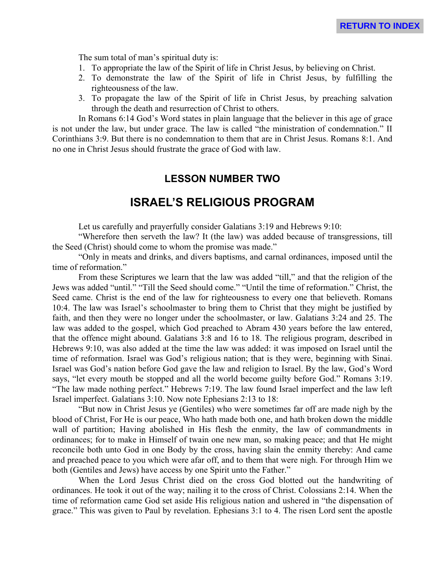The sum total of man's spiritual duty is:

- 1. To appropriate the law of the Spirit of life in Christ Jesus, by believing on Christ.
- 2. To demonstrate the law of the Spirit of life in Christ Jesus, by fulfilling the righteousness of the law.
- 3. To propagate the law of the Spirit of life in Christ Jesus, by preaching salvation through the death and resurrection of Christ to others.

In Romans 6:14 God's Word states in plain language that the believer in this age of grace is not under the law, but under grace. The law is called "the ministration of condemnation." II Corinthians 3:9. But there is no condemnation to them that are in Christ Jesus. Romans 8:1. And no one in Christ Jesus should frustrate the grace of God with law.

# **LESSON NUMBER TWO**

# **ISRAEL'S RELIGIOUS PROGRAM**

Let us carefully and prayerfully consider Galatians 3:19 and Hebrews 9:10:

"Wherefore then serveth the law? It (the law) was added because of transgressions, till the Seed (Christ) should come to whom the promise was made."

"Only in meats and drinks, and divers baptisms, and carnal ordinances, imposed until the time of reformation."

From these Scriptures we learn that the law was added "till," and that the religion of the Jews was added "until." "Till the Seed should come." "Until the time of reformation." Christ, the Seed came. Christ is the end of the law for righteousness to every one that believeth. Romans 10:4. The law was Israel's schoolmaster to bring them to Christ that they might be justified by faith, and then they were no longer under the schoolmaster, or law. Galatians 3:24 and 25. The law was added to the gospel, which God preached to Abram 430 years before the law entered, that the offence might abound. Galatians 3:8 and 16 to 18. The religious program, described in Hebrews 9:10, was also added at the time the law was added: it was imposed on Israel until the time of reformation. Israel was God's religious nation; that is they were, beginning with Sinai. Israel was God's nation before God gave the law and religion to Israel. By the law, God's Word says, "let every mouth be stopped and all the world become guilty before God." Romans 3:19. "The law made nothing perfect." Hebrews 7:19. The law found Israel imperfect and the law left Israel imperfect. Galatians 3:10. Now note Ephesians 2:13 to 18:

"But now in Christ Jesus ye (Gentiles) who were sometimes far off are made nigh by the blood of Christ, For He is our peace, Who hath made both one, and hath broken down the middle wall of partition; Having abolished in His flesh the enmity, the law of commandments in ordinances; for to make in Himself of twain one new man, so making peace; and that He might reconcile both unto God in one Body by the cross, having slain the enmity thereby: And came and preached peace to you which were afar off, and to them that were nigh. For through Him we both (Gentiles and Jews) have access by one Spirit unto the Father."

When the Lord Jesus Christ died on the cross God blotted out the handwriting of ordinances. He took it out of the way; nailing it to the cross of Christ. Colossians 2:14. When the time of reformation came God set aside His religious nation and ushered in "the dispensation of grace." This was given to Paul by revelation. Ephesians 3:1 to 4. The risen Lord sent the apostle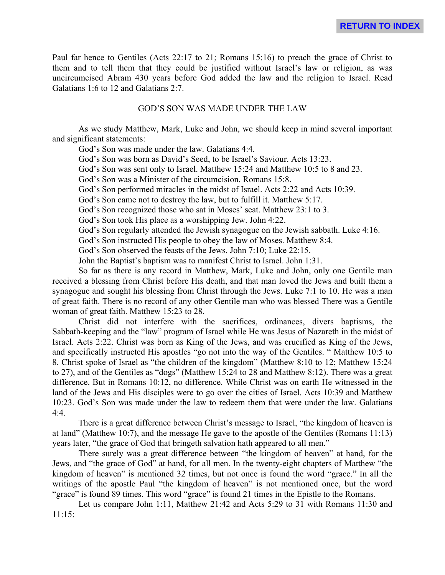Paul far hence to Gentiles (Acts 22:17 to 21; Romans 15:16) to preach the grace of Christ to them and to tell them that they could be justified without Israel's law or religion, as was uncircumcised Abram 430 years before God added the law and the religion to Israel. Read Galatians 1:6 to 12 and Galatians 2:7.

#### GOD'S SON WAS MADE UNDER THE LAW

As we study Matthew, Mark, Luke and John, we should keep in mind several important and significant statements:

God's Son was made under the law. Galatians 4:4.

God's Son was born as David's Seed, to be Israel's Saviour. Acts 13:23.

God's Son was sent only to Israel. Matthew 15:24 and Matthew 10:5 to 8 and 23.

God's Son was a Minister of the circumcision. Romans 15:8.

God's Son performed miracles in the midst of Israel. Acts 2:22 and Acts 10:39.

God's Son came not to destroy the law, but to fulfill it. Matthew 5:17.

God's Son recognized those who sat in Moses' seat. Matthew 23:1 to 3.

God's Son took His place as a worshipping Jew. John 4:22.

God's Son regularly attended the Jewish synagogue on the Jewish sabbath. Luke 4:16.

God's Son instructed His people to obey the law of Moses. Matthew 8:4.

God's Son observed the feasts of the Jews. John 7:10; Luke 22:15.

John the Baptist's baptism was to manifest Christ to Israel. John 1:31.

So far as there is any record in Matthew, Mark, Luke and John, only one Gentile man received a blessing from Christ before His death, and that man loved the Jews and built them a synagogue and sought his blessing from Christ through the Jews. Luke 7:1 to 10. He was a man of great faith. There is no record of any other Gentile man who was blessed There was a Gentile woman of great faith. Matthew 15:23 to 28.

Christ did not interfere with the sacrifices, ordinances, divers baptisms, the Sabbath-keeping and the "law" program of Israel while He was Jesus of Nazareth in the midst of Israel. Acts 2:22. Christ was born as King of the Jews, and was crucified as King of the Jews, and specifically instructed His apostles "go not into the way of the Gentiles. " Matthew 10:5 to 8. Christ spoke of Israel as "the children of the kingdom" (Matthew 8:10 to 12; Matthew 15:24 to 27), and of the Gentiles as "dogs" (Matthew 15:24 to 28 and Matthew 8:12). There was a great difference. But in Romans 10:12, no difference. While Christ was on earth He witnessed in the land of the Jews and His disciples were to go over the cities of Israel. Acts 10:39 and Matthew 10:23. God's Son was made under the law to redeem them that were under the law. Galatians 4:4.

There is a great difference between Christ's message to Israel, "the kingdom of heaven is at land" (Matthew 10:7), and the message He gave to the apostle of the Gentiles (Romans 11:13) years later, "the grace of God that bringeth salvation hath appeared to all men."

There surely was a great difference between "the kingdom of heaven" at hand, for the Jews, and "the grace of God" at hand, for all men. In the twenty-eight chapters of Matthew "the kingdom of heaven" is mentioned 32 times, but not once is found the word "grace." In all the writings of the apostle Paul "the kingdom of heaven" is not mentioned once, but the word "grace" is found 89 times. This word "grace" is found 21 times in the Epistle to the Romans.

Let us compare John 1:11, Matthew 21:42 and Acts 5:29 to 31 with Romans 11:30 and 11:15: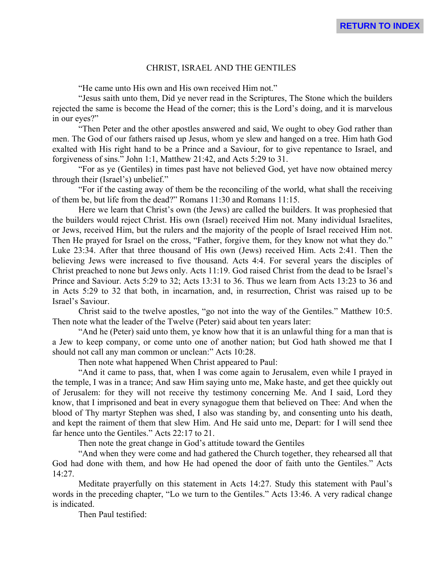# CHRIST, ISRAEL AND THE GENTILES

"He came unto His own and His own received Him not."

"Jesus saith unto them, Did ye never read in the Scriptures, The Stone which the builders rejected the same is become the Head of the corner; this is the Lord's doing, and it is marvelous in our eyes?"

"Then Peter and the other apostles answered and said, We ought to obey God rather than men. The God of our fathers raised up Jesus, whom ye slew and hanged on a tree. Him hath God exalted with His right hand to be a Prince and a Saviour, for to give repentance to Israel, and forgiveness of sins." John 1:1, Matthew 21:42, and Acts 5:29 to 31.

"For as ye (Gentiles) in times past have not believed God, yet have now obtained mercy through their (Israel's) unbelief."

"For if the casting away of them be the reconciling of the world, what shall the receiving of them be, but life from the dead?" Romans 11:30 and Romans 11:15.

Here we learn that Christ's own (the Jews) are called the builders. It was prophesied that the builders would reject Christ. His own (Israel) received Him not. Many individual Israelites, or Jews, received Him, but the rulers and the majority of the people of Israel received Him not. Then He prayed for Israel on the cross, "Father, forgive them, for they know not what they do." Luke 23:34. After that three thousand of His own (Jews) received Him. Acts 2:41. Then the believing Jews were increased to five thousand. Acts 4:4. For several years the disciples of Christ preached to none but Jews only. Acts 11:19. God raised Christ from the dead to be Israel's Prince and Saviour. Acts 5:29 to 32; Acts 13:31 to 36. Thus we learn from Acts 13:23 to 36 and in Acts 5:29 to 32 that both, in incarnation, and, in resurrection, Christ was raised up to be Israel's Saviour.

Christ said to the twelve apostles, "go not into the way of the Gentiles." Matthew 10:5. Then note what the leader of the Twelve (Peter) said about ten years later:

"And he (Peter) said unto them, ye know how that it is an unlawful thing for a man that is a Jew to keep company, or come unto one of another nation; but God hath showed me that I should not call any man common or unclean:" Acts 10:28.

Then note what happened When Christ appeared to Paul:

"And it came to pass, that, when I was come again to Jerusalem, even while I prayed in the temple, I was in a trance; And saw Him saying unto me, Make haste, and get thee quickly out of Jerusalem: for they will not receive thy testimony concerning Me. And I said, Lord they know, that I imprisoned and beat in every synagogue them that believed on Thee: And when the blood of Thy martyr Stephen was shed, I also was standing by, and consenting unto his death, and kept the raiment of them that slew Him. And He said unto me, Depart: for I will send thee far hence unto the Gentiles." Acts 22:17 to 21.

Then note the great change in God's attitude toward the Gentiles

"And when they were come and had gathered the Church together, they rehearsed all that God had done with them, and how He had opened the door of faith unto the Gentiles." Acts 14:27.

Meditate prayerfully on this statement in Acts 14:27. Study this statement with Paul's words in the preceding chapter, "Lo we turn to the Gentiles." Acts 13:46. A very radical change is indicated.

Then Paul testified: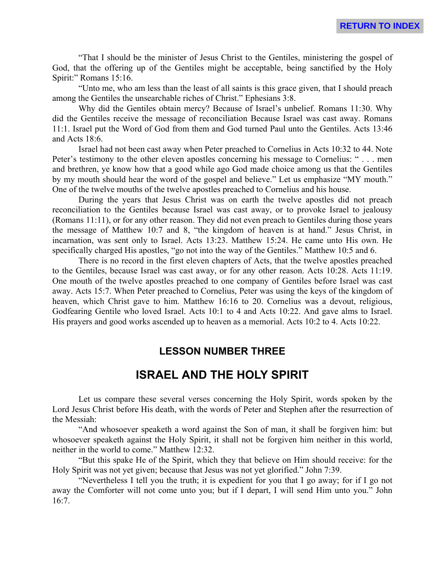"That I should be the minister of Jesus Christ to the Gentiles, ministering the gospel of God, that the offering up of the Gentiles might be acceptable, being sanctified by the Holy Spirit:" Romans 15:16.

"Unto me, who am less than the least of all saints is this grace given, that I should preach among the Gentiles the unsearchable riches of Christ." Ephesians 3:8.

Why did the Gentiles obtain mercy? Because of Israel's unbelief. Romans 11:30. Why did the Gentiles receive the message of reconciliation Because Israel was cast away. Romans 11:1. Israel put the Word of God from them and God turned Paul unto the Gentiles. Acts 13:46 and Acts 18:6.

Israel had not been cast away when Peter preached to Cornelius in Acts 10:32 to 44. Note Peter's testimony to the other eleven apostles concerning his message to Cornelius: " . . . men and brethren, ye know how that a good while ago God made choice among us that the Gentiles by my mouth should hear the word of the gospel and believe." Let us emphasize "MY mouth." One of the twelve mouths of the twelve apostles preached to Cornelius and his house.

During the years that Jesus Christ was on earth the twelve apostles did not preach reconciliation to the Gentiles because Israel was cast away, or to provoke Israel to jealousy (Romans 11:11), or for any other reason. They did not even preach to Gentiles during those years the message of Matthew 10:7 and 8, "the kingdom of heaven is at hand." Jesus Christ, in incarnation, was sent only to Israel. Acts 13:23. Matthew 15:24. He came unto His own. He specifically charged His apostles, "go not into the way of the Gentiles." Matthew 10:5 and 6.

There is no record in the first eleven chapters of Acts, that the twelve apostles preached to the Gentiles, because Israel was cast away, or for any other reason. Acts 10:28. Acts 11:19. One mouth of the twelve apostles preached to one company of Gentiles before Israel was cast away. Acts 15:7. When Peter preached to Cornelius, Peter was using the keys of the kingdom of heaven, which Christ gave to him. Matthew 16:16 to 20. Cornelius was a devout, religious, Godfearing Gentile who loved Israel. Acts 10:1 to 4 and Acts 10:22. And gave alms to Israel. His prayers and good works ascended up to heaven as a memorial. Acts 10:2 to 4. Acts 10:22.

# **LESSON NUMBER THREE**

# **ISRAEL AND THE HOLY SPIRIT**

Let us compare these several verses concerning the Holy Spirit, words spoken by the Lord Jesus Christ before His death, with the words of Peter and Stephen after the resurrection of the Messiah:

"And whosoever speaketh a word against the Son of man, it shall be forgiven him: but whosoever speaketh against the Holy Spirit, it shall not be forgiven him neither in this world, neither in the world to come." Matthew 12:32.

"But this spake He of the Spirit, which they that believe on Him should receive: for the Holy Spirit was not yet given; because that Jesus was not yet glorified." John 7:39.

"Nevertheless I tell you the truth; it is expedient for you that I go away; for if I go not away the Comforter will not come unto you; but if I depart, I will send Him unto you." John 16:7.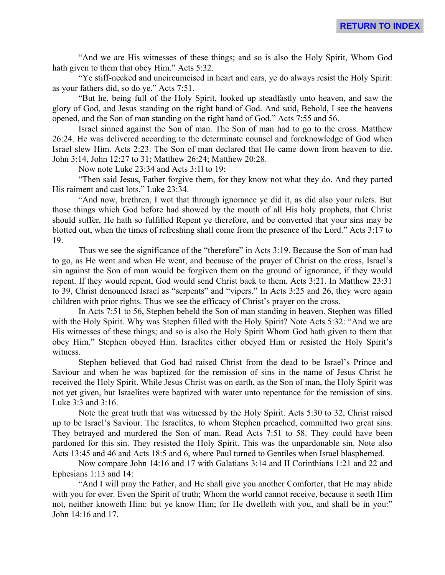"And we are His witnesses of these things; and so is also the Holy Spirit, Whom God hath given to them that obey Him." Acts 5:32.

"Ye stiff-necked and uncircumcised in heart and ears, ye do always resist the Holy Spirit: as your fathers did, so do ye." Acts 7:51.

"But he, being full of the Holy Spirit, looked up steadfastly unto heaven, and saw the glory of God, and Jesus standing on the right hand of God. And said, Behold, I see the heavens opened, and the Son of man standing on the right hand of God." Acts 7:55 and 56.

Israel sinned against the Son of man. The Son of man had to go to the cross. Matthew 26:24. He was delivered according to the determinate counsel and foreknowledge of God when Israel slew Him. Acts 2:23. The Son of man declared that He came down from heaven to die. John 3:14, John 12:27 to 31; Matthew 26:24; Matthew 20:28.

Now note Luke 23:34 and Acts 3:1l to 19:

"Then said Jesus, Father forgive them, for they know not what they do. And they parted His raiment and cast lots." Luke 23:34.

"And now, brethren, I wot that through ignorance ye did it, as did also your rulers. But those things which God before had showed by the mouth of all His holy prophets, that Christ should suffer, He hath so fulfilled Repent ye therefore, and be converted that your sins may be blotted out, when the times of refreshing shall come from the presence of the Lord." Acts 3:17 to 19.

Thus we see the significance of the "therefore" in Acts 3:19. Because the Son of man had to go, as He went and when He went, and because of the prayer of Christ on the cross, Israel's sin against the Son of man would be forgiven them on the ground of ignorance, if they would repent. If they would repent, God would send Christ back to them. Acts 3:21. In Matthew 23:31 to 39, Christ denounced Israel as "serpents" and "vipers." In Acts 3:25 and 26, they were again children with prior rights. Thus we see the efficacy of Christ's prayer on the cross.

In Acts 7:51 to 56, Stephen beheld the Son of man standing in heaven. Stephen was filled with the Holy Spirit. Why was Stephen filled with the Holy Spirit? Note Acts 5:32: "And we are His witnesses of these things; and so is also the Holy Spirit Whom God hath given to them that obey Him." Stephen obeyed Him. Israelites either obeyed Him or resisted the Holy Spirit's witness.

Stephen believed that God had raised Christ from the dead to be Israel's Prince and Saviour and when he was baptized for the remission of sins in the name of Jesus Christ he received the Holy Spirit. While Jesus Christ was on earth, as the Son of man, the Holy Spirit was not yet given, but Israelites were baptized with water unto repentance for the remission of sins. Luke 3:3 and 3:16.

Note the great truth that was witnessed by the Holy Spirit. Acts 5:30 to 32, Christ raised up to be Israel's Saviour. The Israelites, to whom Stephen preached, committed two great sins. They betrayed and murdered the Son of man. Read Acts 7:51 to 58. They could have been pardoned for this sin. They resisted the Holy Spirit. This was the unpardonable sin. Note also Acts 13:45 and 46 and Acts 18:5 and 6, where Paul turned to Gentiles when Israel blasphemed.

Now compare John 14:16 and 17 with Galatians 3:14 and II Corinthians 1:21 and 22 and Ephesians 1:13 and 14:

"And I will pray the Father, and He shall give you another Comforter, that He may abide with you for ever. Even the Spirit of truth; Whom the world cannot receive, because it seeth Him not, neither knoweth Him: but ye know Him; for He dwelleth with you, and shall be in you:" John 14:16 and 17.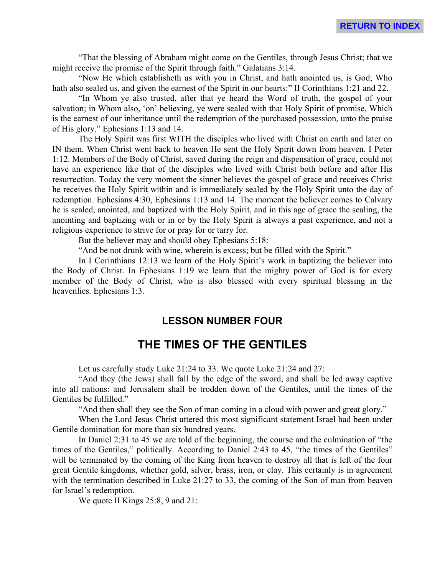"That the blessing of Abraham might come on the Gentiles, through Jesus Christ; that we might receive the promise of the Spirit through faith." Galatians 3:14.

"Now He which establisheth us with you in Christ, and hath anointed us, is God; Who hath also sealed us, and given the earnest of the Spirit in our hearts:" II Corinthians 1:21 and 22.

"In Whom ye also trusted, after that ye heard the Word of truth, the gospel of your salvation; in Whom also, 'on' believing, ye were sealed with that Holy Spirit of promise, Which is the earnest of our inheritance until the redemption of the purchased possession, unto the praise of His glory." Ephesians 1:13 and 14.

The Holy Spirit was first WITH the disciples who lived with Christ on earth and later on IN them. When Christ went back to heaven He sent the Holy Spirit down from heaven. I Peter 1:12. Members of the Body of Christ, saved during the reign and dispensation of grace, could not have an experience like that of the disciples who lived with Christ both before and after His resurrection. Today the very moment the sinner believes the gospel of grace and receives Christ he receives the Holy Spirit within and is immediately sealed by the Holy Spirit unto the day of redemption. Ephesians 4:30, Ephesians 1:13 and 14. The moment the believer comes to Calvary he is sealed, anointed, and baptized with the Holy Spirit, and in this age of grace the sealing, the anointing and baptizing with or in or by the Holy Spirit is always a past experience, and not a religious experience to strive for or pray for or tarry for.

But the believer may and should obey Ephesians 5:18:

"And be not drunk with wine, wherein is excess; but be filled with the Spirit."

In I Corinthians 12:13 we learn of the Holy Spirit's work in baptizing the believer into the Body of Christ. In Ephesians 1:19 we learn that the mighty power of God is for every member of the Body of Christ, who is also blessed with every spiritual blessing in the heavenlies. Ephesians 1:3.

# **LESSON NUMBER FOUR**

# **THE TIMES OF THE GENTILES**

Let us carefully study Luke 21:24 to 33. We quote Luke 21:24 and 27:

"And they (the Jews) shall fall by the edge of the sword, and shall be led away captive into all nations: and Jerusalem shall be trodden down of the Gentiles, until the times of the Gentiles be fulfilled."

"And then shall they see the Son of man coming in a cloud with power and great glory."

When the Lord Jesus Christ uttered this most significant statement Israel had been under Gentile domination for more than six hundred years.

In Daniel 2:31 to 45 we are told of the beginning, the course and the culmination of "the times of the Gentiles," politically. According to Daniel 2:43 to 45, "the times of the Gentiles" will be terminated by the coming of the King from heaven to destroy all that is left of the four great Gentile kingdoms, whether gold, silver, brass, iron, or clay. This certainly is in agreement with the termination described in Luke 21:27 to 33, the coming of the Son of man from heaven for Israel's redemption.

We quote II Kings 25:8, 9 and 21: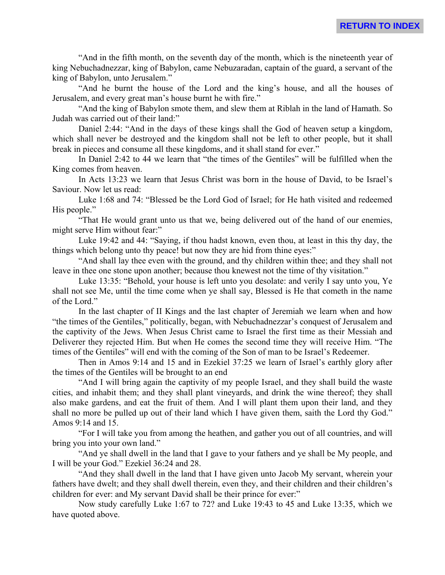"And in the fifth month, on the seventh day of the month, which is the nineteenth year of king Nebuchadnezzar, king of Babylon, came Nebuzaradan, captain of the guard, a servant of the king of Babylon, unto Jerusalem."

"And he burnt the house of the Lord and the king's house, and all the houses of Jerusalem, and every great man's house burnt he with fire."

"And the king of Babylon smote them, and slew them at Riblah in the land of Hamath. So Judah was carried out of their land:"

Daniel 2:44: "And in the days of these kings shall the God of heaven setup a kingdom, which shall never be destroyed and the kingdom shall not be left to other people, but it shall break in pieces and consume all these kingdoms, and it shall stand for ever."

In Daniel 2:42 to 44 we learn that "the times of the Gentiles" will be fulfilled when the King comes from heaven.

In Acts 13:23 we learn that Jesus Christ was born in the house of David, to be Israel's Saviour. Now let us read:

Luke 1:68 and 74: "Blessed be the Lord God of Israel; for He hath visited and redeemed His people."

"That He would grant unto us that we, being delivered out of the hand of our enemies, might serve Him without fear:"

Luke 19:42 and 44: "Saying, if thou hadst known, even thou, at least in this thy day, the things which belong unto thy peace! but now they are hid from thine eyes:"

"And shall lay thee even with the ground, and thy children within thee; and they shall not leave in thee one stone upon another; because thou knewest not the time of thy visitation."

Luke 13:35: "Behold, your house is left unto you desolate: and verily I say unto you, Ye shall not see Me, until the time come when ye shall say, Blessed is He that cometh in the name of the Lord."

In the last chapter of II Kings and the last chapter of Jeremiah we learn when and how "the times of the Gentiles," politically, began, with Nebuchadnezzar's conquest of Jerusalem and the captivity of the Jews. When Jesus Christ came to Israel the first time as their Messiah and Deliverer they rejected Him. But when He comes the second time they will receive Him. "The times of the Gentiles" will end with the coming of the Son of man to be Israel's Redeemer.

Then in Amos 9:14 and 15 and in Ezekiel 37:25 we learn of Israel's earthly glory after the times of the Gentiles will be brought to an end

"And I will bring again the captivity of my people Israel, and they shall build the waste cities, and inhabit them; and they shall plant vineyards, and drink the wine thereof; they shall also make gardens, and eat the fruit of them. And I will plant them upon their land, and they shall no more be pulled up out of their land which I have given them, saith the Lord thy God." Amos 9:14 and 15.

"For I will take you from among the heathen, and gather you out of all countries, and will bring you into your own land."

"And ye shall dwell in the land that I gave to your fathers and ye shall be My people, and I will be your God." Ezekiel 36:24 and 28.

"And they shall dwell in the land that I have given unto Jacob My servant, wherein your fathers have dwelt; and they shall dwell therein, even they, and their children and their children's children for ever: and My servant David shall be their prince for ever:"

Now study carefully Luke 1:67 to 72? and Luke 19:43 to 45 and Luke 13:35, which we have quoted above.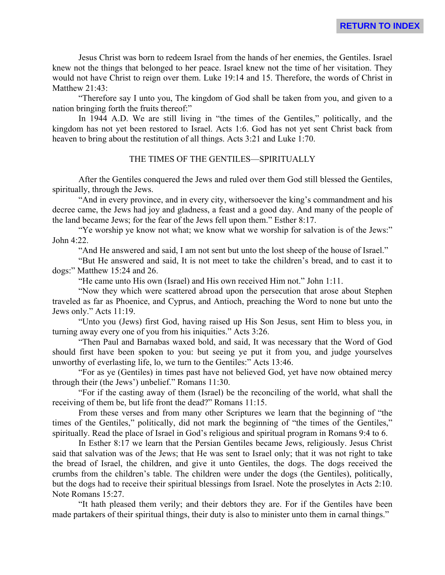Jesus Christ was born to redeem Israel from the hands of her enemies, the Gentiles. Israel knew not the things that belonged to her peace. Israel knew not the time of her visitation. They would not have Christ to reign over them. Luke 19:14 and 15. Therefore, the words of Christ in Matthew 21:43:

**RETURN TO INDEX**

"Therefore say I unto you, The kingdom of God shall be taken from you, and given to a nation bringing forth the fruits thereof:"

In 1944 A.D. We are still living in "the times of the Gentiles," politically, and the kingdom has not yet been restored to Israel. Acts 1:6. God has not yet sent Christ back from heaven to bring about the restitution of all things. Acts 3:21 and Luke 1:70.

#### THE TIMES OF THE GENTILES—SPIRITUALLY

After the Gentiles conquered the Jews and ruled over them God still blessed the Gentiles, spiritually, through the Jews.

"And in every province, and in every city, withersoever the king's commandment and his decree came, the Jews had joy and gladness, a feast and a good day. And many of the people of the land became Jews; for the fear of the Jews fell upon them." Esther 8:17.

"Ye worship ye know not what; we know what we worship for salvation is of the Jews:" John 4:22.

"And He answered and said, I am not sent but unto the lost sheep of the house of Israel."

"But He answered and said, It is not meet to take the children's bread, and to cast it to dogs:" Matthew 15:24 and 26.

"He came unto His own (Israel) and His own received Him not." John 1:11.

"Now they which were scattered abroad upon the persecution that arose about Stephen traveled as far as Phoenice, and Cyprus, and Antioch, preaching the Word to none but unto the Jews only." Acts 11:19.

"Unto you (Jews) first God, having raised up His Son Jesus, sent Him to bless you, in turning away every one of you from his iniquities." Acts 3:26.

"Then Paul and Barnabas waxed bold, and said, It was necessary that the Word of God should first have been spoken to you: but seeing ye put it from you, and judge yourselves unworthy of everlasting life, lo, we turn to the Gentiles:" Acts 13:46.

"For as ye (Gentiles) in times past have not believed God, yet have now obtained mercy through their (the Jews') unbelief." Romans 11:30.

"For if the casting away of them (Israel) be the reconciling of the world, what shall the receiving of them be, but life front the dead?" Romans 11:15.

From these verses and from many other Scriptures we learn that the beginning of "the times of the Gentiles," politically, did not mark the beginning of "the times of the Gentiles," spiritually. Read the place of Israel in God's religious and spiritual program in Romans 9:4 to 6.

In Esther 8:17 we learn that the Persian Gentiles became Jews, religiously. Jesus Christ said that salvation was of the Jews; that He was sent to Israel only; that it was not right to take the bread of Israel, the children, and give it unto Gentiles, the dogs. The dogs received the crumbs from the children's table. The children were under the dogs (the Gentiles), politically, but the dogs had to receive their spiritual blessings from Israel. Note the proselytes in Acts 2:10. Note Romans 15:27.

"It hath pleased them verily; and their debtors they are. For if the Gentiles have been made partakers of their spiritual things, their duty is also to minister unto them in carnal things."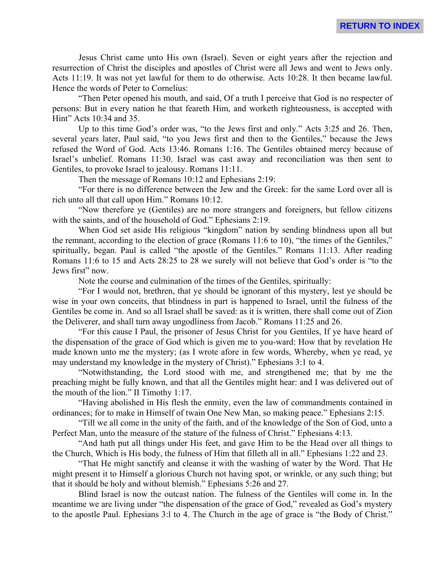Jesus Christ came unto His own (Israel). Seven or eight years after the rejection and resurrection of Christ the disciples and apostles of Christ were all Jews and went to Jews only. Acts 11:19. It was not yet lawful for them to do otherwise. Acts 10:28. It then became lawful. Hence the words of Peter to Cornelius:

"Then Peter opened his mouth, and said, Of a truth I perceive that God is no respecter of persons: But in every nation he that feareth Him, and worketh righteousness, is accepted with Hint" Acts 10:34 and 35.

Up to this time God's order was, "to the Jews first and only." Acts 3:25 and 26. Then, several years later, Paul said, "to you Jews first and then to the Gentiles," because the Jews refused the Word of God. Acts 13:46. Romans 1:16. The Gentiles obtained mercy because of Israel's unbelief. Romans 11:30. Israel was cast away and reconciliation was then sent to Gentiles, to provoke Israel to jealousy. Romans 11:11.

Then the message of Romans 10:12 and Ephesians 2:19:

"For there is no difference between the Jew and the Greek: for the same Lord over all is rich unto all that call upon Him." Romans 10:12.

"Now therefore ye (Gentiles) are no more strangers and foreigners, but fellow citizens with the saints, and of the household of God." Ephesians 2:19.

When God set aside His religious "kingdom" nation by sending blindness upon all but the remnant, according to the election of grace (Romans 11:6 to 10), "the times of the Gentiles," spiritually, began. Paul is called "the apostle of the Gentiles." Romans 11:13. After reading Romans 11:6 to 15 and Acts 28:25 to 28 we surely will not believe that God's order is "to the Jews first" now.

Note the course and culmination of the times of the Gentiles, spiritually:

"For I would not, brethren, that ye should be ignorant of this mystery, lest ye should be wise in your own conceits, that blindness in part is happened to Israel, until the fulness of the Gentiles be come in. And so all Israel shall be saved: as it is written, there shall come out of Zion the Deliverer, and shall turn away ungodliness from Jacob." Romans 11:25 and 26.

"For this cause I Paul, the prisoner of Jesus Christ for you Gentiles, If ye have heard of the dispensation of the grace of God which is given me to you-ward: How that by revelation He made known unto me the mystery; (as I wrote afore in few words, Whereby, when ye read, ye may understand my knowledge in the mystery of Christ)." Ephesians 3:1 to 4.

"Notwithstanding, the Lord stood with me, and strengthened me; that by me the preaching might be fully known, and that all the Gentiles might hear: and I was delivered out of the mouth of the lion." II Timothy 1:17.

"Having abolished in His flesh the enmity, even the law of commandments contained in ordinances; for to make in Himself of twain One New Man, so making peace." Ephesians 2:15.

"Till we all come in the unity of the faith, and of the knowledge of the Son of God, unto a Perfect Man, unto the measure of the stature of the fulness of Christ." Ephesians 4:13.

"And hath put all things under His feet, and gave Him to be the Head over all things to the Church, Which is His body, the fulness of Him that filleth all in all." Ephesians 1:22 and 23.

"That He might sanctify and cleanse it with the washing of water by the Word. That He might present it to Himself a glorious Church not having spot, or wrinkle, or any such thing; but that it should be holy and without blemish." Ephesians 5:26 and 27.

Blind Israel is now the outcast nation. The fulness of the Gentiles will come in. In the meantime we are living under "the dispensation of the grace of God," revealed as God's mystery to the apostle Paul. Ephesians 3:l to 4. The Church in the age of grace is "the Body of Christ."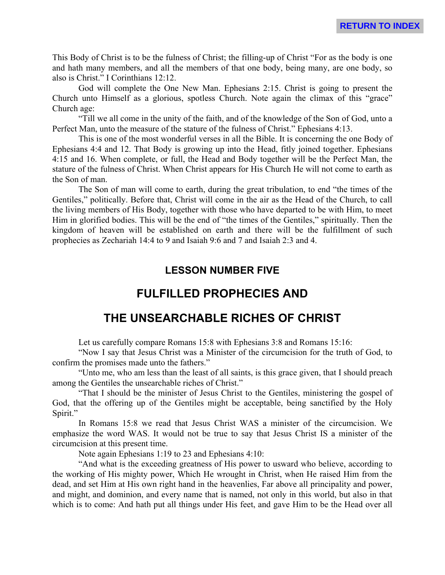This Body of Christ is to be the fulness of Christ; the filling-up of Christ "For as the body is one and hath many members, and all the members of that one body, being many, are one body, so also is Christ." I Corinthians 12:12.

God will complete the One New Man. Ephesians 2:15. Christ is going to present the Church unto Himself as a glorious, spotless Church. Note again the climax of this "grace" Church age:

"Till we all come in the unity of the faith, and of the knowledge of the Son of God, unto a Perfect Man, unto the measure of the stature of the fulness of Christ." Ephesians 4:13.

This is one of the most wonderful verses in all the Bible. It is concerning the one Body of Ephesians 4:4 and 12. That Body is growing up into the Head, fitly joined together. Ephesians 4:15 and 16. When complete, or full, the Head and Body together will be the Perfect Man, the stature of the fulness of Christ. When Christ appears for His Church He will not come to earth as the Son of man.

The Son of man will come to earth, during the great tribulation, to end "the times of the Gentiles," politically. Before that, Christ will come in the air as the Head of the Church, to call the living members of His Body, together with those who have departed to be with Him, to meet Him in glorified bodies. This will be the end of "the times of the Gentiles," spiritually. Then the kingdom of heaven will be established on earth and there will be the fulfillment of such prophecies as Zechariah 14:4 to 9 and Isaiah 9:6 and 7 and Isaiah 2:3 and 4.

# **LESSON NUMBER FIVE**

# **FULFILLED PROPHECIES AND**

# **THE UNSEARCHABLE RICHES OF CHRIST**

Let us carefully compare Romans 15:8 with Ephesians 3:8 and Romans 15:16:

"Now I say that Jesus Christ was a Minister of the circumcision for the truth of God, to confirm the promises made unto the fathers."

"Unto me, who am less than the least of all saints, is this grace given, that I should preach among the Gentiles the unsearchable riches of Christ."

"That I should be the minister of Jesus Christ to the Gentiles, ministering the gospel of God, that the offering up of the Gentiles might be acceptable, being sanctified by the Holy Spirit."

In Romans 15:8 we read that Jesus Christ WAS a minister of the circumcision. We emphasize the word WAS. It would not be true to say that Jesus Christ IS a minister of the circumcision at this present time.

Note again Ephesians 1:19 to 23 and Ephesians 4:10:

"And what is the exceeding greatness of His power to usward who believe, according to the working of His mighty power, Which He wrought in Christ, when He raised Him from the dead, and set Him at His own right hand in the heavenlies, Far above all principality and power, and might, and dominion, and every name that is named, not only in this world, but also in that which is to come: And hath put all things under His feet, and gave Him to be the Head over all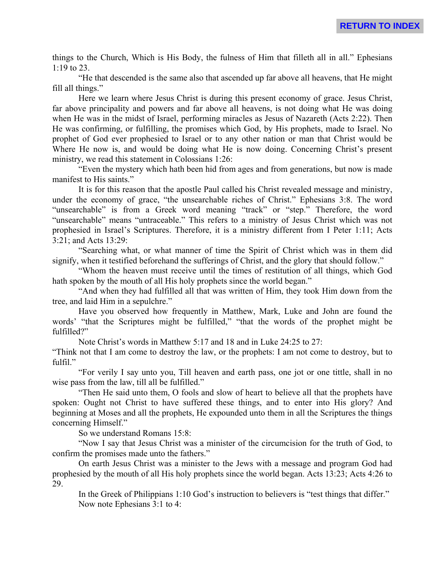things to the Church, Which is His Body, the fulness of Him that filleth all in all." Ephesians 1:19 to 23.

"He that descended is the same also that ascended up far above all heavens, that He might fill all things."

Here we learn where Jesus Christ is during this present economy of grace. Jesus Christ, far above principality and powers and far above all heavens, is not doing what He was doing when He was in the midst of Israel, performing miracles as Jesus of Nazareth (Acts 2:22). Then He was confirming, or fulfilling, the promises which God, by His prophets, made to Israel. No prophet of God ever prophesied to Israel or to any other nation or man that Christ would be Where He now is, and would be doing what He is now doing. Concerning Christ's present ministry, we read this statement in Colossians 1:26:

"Even the mystery which hath been hid from ages and from generations, but now is made manifest to His saints."

It is for this reason that the apostle Paul called his Christ revealed message and ministry, under the economy of grace, "the unsearchable riches of Christ." Ephesians 3:8. The word "unsearchable" is from a Greek word meaning "track" or "step." Therefore, the word "unsearchable" means "untraceable." This refers to a ministry of Jesus Christ which was not prophesied in Israel's Scriptures. Therefore, it is a ministry different from I Peter 1:11; Acts 3:21; and Acts 13:29:

"Searching what, or what manner of time the Spirit of Christ which was in them did signify, when it testified beforehand the sufferings of Christ, and the glory that should follow."

"Whom the heaven must receive until the times of restitution of all things, which God hath spoken by the mouth of all His holy prophets since the world began."

"And when they had fulfilled all that was written of Him, they took Him down from the tree, and laid Him in a sepulchre."

Have you observed how frequently in Matthew, Mark, Luke and John are found the words' "that the Scriptures might be fulfilled," "that the words of the prophet might be fulfilled?"

Note Christ's words in Matthew 5:17 and 18 and in Luke 24:25 to 27:

"Think not that I am come to destroy the law, or the prophets: I am not come to destroy, but to fulfil."

"For verily I say unto you, Till heaven and earth pass, one jot or one tittle, shall in no wise pass from the law, till all be fulfilled."

"Then He said unto them, O fools and slow of heart to believe all that the prophets have spoken: Ought not Christ to have suffered these things, and to enter into His glory? And beginning at Moses and all the prophets, He expounded unto them in all the Scriptures the things concerning Himself."

So we understand Romans 15:8:

"Now I say that Jesus Christ was a minister of the circumcision for the truth of God, to confirm the promises made unto the fathers."

On earth Jesus Christ was a minister to the Jews with a message and program God had prophesied by the mouth of all His holy prophets since the world began. Acts 13:23; Acts 4:26 to 29.

In the Greek of Philippians 1:10 God's instruction to believers is "test things that differ." Now note Ephesians 3:1 to 4: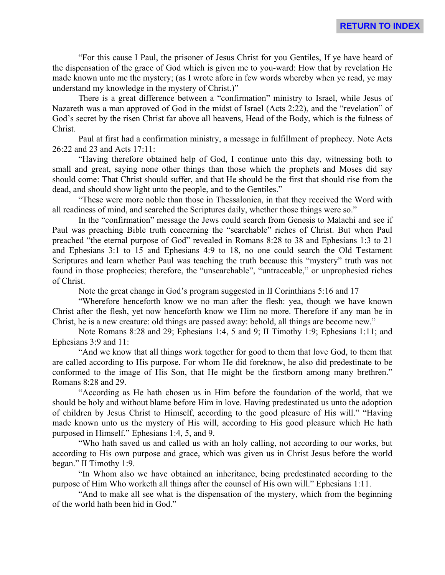"For this cause I Paul, the prisoner of Jesus Christ for you Gentiles, If ye have heard of the dispensation of the grace of God which is given me to you-ward: How that by revelation He made known unto me the mystery; (as I wrote afore in few words whereby when ye read, ye may understand my knowledge in the mystery of Christ.)"

There is a great difference between a "confirmation" ministry to Israel, while Jesus of Nazareth was a man approved of God in the midst of Israel (Acts 2:22), and the "revelation" of God's secret by the risen Christ far above all heavens, Head of the Body, which is the fulness of Christ.

Paul at first had a confirmation ministry, a message in fulfillment of prophecy. Note Acts 26:22 and 23 and Acts 17:11:

"Having therefore obtained help of God, I continue unto this day, witnessing both to small and great, saying none other things than those which the prophets and Moses did say should come: That Christ should suffer, and that He should be the first that should rise from the dead, and should show light unto the people, and to the Gentiles."

"These were more noble than those in Thessalonica, in that they received the Word with all readiness of mind, and searched the Scriptures daily, whether those things were so."

In the "confirmation" message the Jews could search from Genesis to Malachi and see if Paul was preaching Bible truth concerning the "searchable" riches of Christ. But when Paul preached "the eternal purpose of God" revealed in Romans 8:28 to 38 and Ephesians 1:3 to 21 and Ephesians 3:1 to 15 and Ephesians 4:9 to 18, no one could search the Old Testament Scriptures and learn whether Paul was teaching the truth because this "mystery" truth was not found in those prophecies; therefore, the "unsearchable", "untraceable," or unprophesied riches of Christ.

Note the great change in God's program suggested in II Corinthians 5:16 and 17

"Wherefore henceforth know we no man after the flesh: yea, though we have known Christ after the flesh, yet now henceforth know we Him no more. Therefore if any man be in Christ, he is a new creature: old things are passed away: behold, all things are become new."

Note Romans 8:28 and 29; Ephesians 1:4, 5 and 9; II Timothy 1:9; Ephesians 1:11; and Ephesians 3:9 and 11:

"And we know that all things work together for good to them that love God, to them that are called according to His purpose. For whom He did foreknow, he also did predestinate to be conformed to the image of His Son, that He might be the firstborn among many brethren." Romans 8:28 and 29.

"According as He hath chosen us in Him before the foundation of the world, that we should be holy and without blame before Him in love. Having predestinated us unto the adoption of children by Jesus Christ to Himself, according to the good pleasure of His will." "Having made known unto us the mystery of His will, according to His good pleasure which He hath purposed in Himself." Ephesians 1:4, 5, and 9.

"Who hath saved us and called us with an holy calling, not according to our works, but according to His own purpose and grace, which was given us in Christ Jesus before the world began." II Timothy 1:9.

"In Whom also we have obtained an inheritance, being predestinated according to the purpose of Him Who worketh all things after the counsel of His own will." Ephesians 1:11.

"And to make all see what is the dispensation of the mystery, which from the beginning of the world hath been hid in God."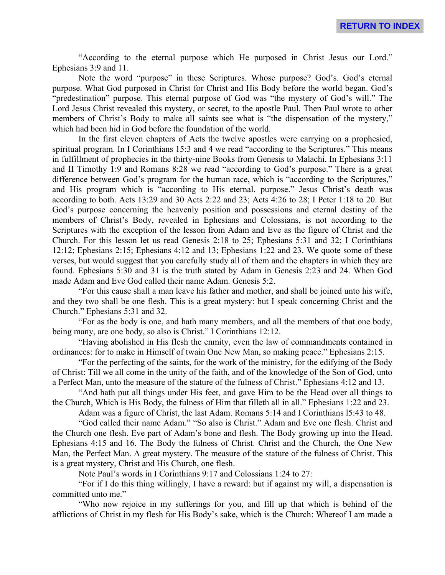"According to the eternal purpose which He purposed in Christ Jesus our Lord." Ephesians 3:9 and 11.

Note the word "purpose" in these Scriptures. Whose purpose? God's. God's eternal purpose. What God purposed in Christ for Christ and His Body before the world began. God's "predestination" purpose. This eternal purpose of God was "the mystery of God's will." The Lord Jesus Christ revealed this mystery, or secret, to the apostle Paul. Then Paul wrote to other members of Christ's Body to make all saints see what is "the dispensation of the mystery," which had been hid in God before the foundation of the world.

In the first eleven chapters of Acts the twelve apostles were carrying on a prophesied, spiritual program. In I Corinthians 15:3 and 4 we read "according to the Scriptures." This means in fulfillment of prophecies in the thirty-nine Books from Genesis to Malachi. In Ephesians 3:11 and II Timothy 1:9 and Romans 8:28 we read "according to God's purpose." There is a great difference between God's program for the human race, which is "according to the Scriptures," and His program which is "according to His eternal. purpose." Jesus Christ's death was according to both. Acts 13:29 and 30 Acts 2:22 and 23; Acts 4:26 to 28; I Peter 1:18 to 20. But God's purpose concerning the heavenly position and possessions and eternal destiny of the members of Christ's Body, revealed in Ephesians and Colossians, is not according to the Scriptures with the exception of the lesson from Adam and Eve as the figure of Christ and the Church. For this lesson let us read Genesis 2:18 to 25; Ephesians 5:31 and 32; I Corinthians 12:12; Ephesians 2:15; Ephesians 4:12 and 13; Ephesians 1:22 and 23. We quote some of these verses, but would suggest that you carefully study all of them and the chapters in which they are found. Ephesians 5:30 and 31 is the truth stated by Adam in Genesis 2:23 and 24. When God made Adam and Eve God called their name Adam. Genesis 5:2.

"For this cause shall a man leave his father and mother, and shall be joined unto his wife, and they two shall be one flesh. This is a great mystery: but I speak concerning Christ and the Church." Ephesians 5:31 and 32.

"For as the body is one, and hath many members, and all the members of that one body, being many, are one body, so also is Christ." I Corinthians 12:12.

"Having abolished in His flesh the enmity, even the law of commandments contained in ordinances: for to make in Himself of twain One New Man, so making peace." Ephesians 2:15.

"For the perfecting of the saints, for the work of the ministry, for the edifying of the Body of Christ: Till we all come in the unity of the faith, and of the knowledge of the Son of God, unto a Perfect Man, unto the measure of the stature of the fulness of Christ." Ephesians 4:12 and 13.

"And hath put all things under His feet, and gave Him to be the Head over all things to the Church, Which is His Body, the fulness of Him that filleth all in all." Ephesians 1:22 and 23.

Adam was a figure of Christ, the last Adam. Romans 5:14 and I Corinthians l5:43 to 48.

"God called their name Adam." "So also is Christ." Adam and Eve one flesh. Christ and the Church one flesh. Eve part of Adam's bone and flesh. The Body growing up into the Head. Ephesians 4:15 and 16. The Body the fulness of Christ. Christ and the Church, the One New Man, the Perfect Man. A great mystery. The measure of the stature of the fulness of Christ. This is a great mystery, Christ and His Church, one flesh.

Note Paul's words in I Corinthians 9:17 and Colossians 1:24 to 27:

"For if I do this thing willingly, I have a reward: but if against my will, a dispensation is committed unto me."

"Who now rejoice in my sufferings for you, and fill up that which is behind of the afflictions of Christ in my flesh for His Body's sake, which is the Church: Whereof I am made a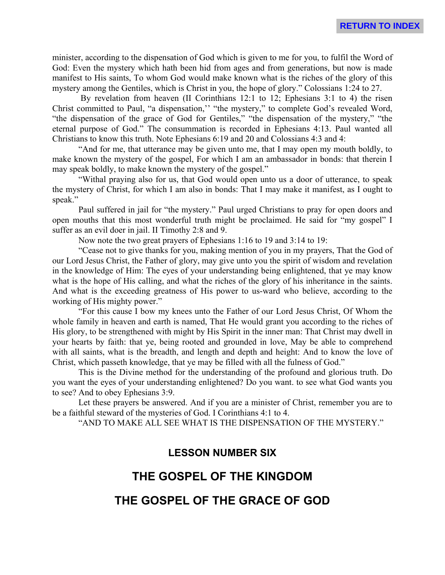minister, according to the dispensation of God which is given to me for you, to fulfil the Word of God: Even the mystery which hath been hid from ages and from generations, but now is made manifest to His saints, To whom God would make known what is the riches of the glory of this mystery among the Gentiles, which is Christ in you, the hope of glory." Colossians 1:24 to 27.

 By revelation from heaven (II Corinthians 12:1 to 12; Ephesians 3:1 to 4) the risen Christ committed to Paul, "a dispensation,'' "the mystery," to complete God's revealed Word, "the dispensation of the grace of God for Gentiles," "the dispensation of the mystery," "the eternal purpose of God." The consummation is recorded in Ephesians 4:13. Paul wanted all Christians to know this truth. Note Ephesians 6:19 and 20 and Colossians 4:3 and 4:

"And for me, that utterance may be given unto me, that I may open my mouth boldly, to make known the mystery of the gospel, For which I am an ambassador in bonds: that therein I may speak boldly, to make known the mystery of the gospel."

"Withal praying also for us, that God would open unto us a door of utterance, to speak the mystery of Christ, for which I am also in bonds: That I may make it manifest, as I ought to speak."

Paul suffered in jail for "the mystery." Paul urged Christians to pray for open doors and open mouths that this most wonderful truth might be proclaimed. He said for "my gospel" I suffer as an evil doer in jail. II Timothy 2:8 and 9.

Now note the two great prayers of Ephesians 1:16 to 19 and 3:14 to 19:

"Cease not to give thanks for you, making mention of you in my prayers, That the God of our Lord Jesus Christ, the Father of glory, may give unto you the spirit of wisdom and revelation in the knowledge of Him: The eyes of your understanding being enlightened, that ye may know what is the hope of His calling, and what the riches of the glory of his inheritance in the saints. And what is the exceeding greatness of His power to us-ward who believe, according to the working of His mighty power."

"For this cause I bow my knees unto the Father of our Lord Jesus Christ, Of Whom the whole family in heaven and earth is named, That He would grant you according to the riches of His glory, to be strengthened with might by His Spirit in the inner man: That Christ may dwell in your hearts by faith: that ye, being rooted and grounded in love, May be able to comprehend with all saints, what is the breadth, and length and depth and height: And to know the love of Christ, which passeth knowledge, that ye may be filled with all the fulness of God."

This is the Divine method for the understanding of the profound and glorious truth. Do you want the eyes of your understanding enlightened? Do you want. to see what God wants you to see? And to obey Ephesians 3:9.

Let these prayers be answered. And if you are a minister of Christ, remember you are to be a faithful steward of the mysteries of God. I Corinthians 4:1 to 4.

"AND TO MAKE ALL SEE WHAT IS THE DISPENSATION OF THE MYSTERY."

# **LESSON NUMBER SIX**

# **THE GOSPEL OF THE KINGDOM**

# **THE GOSPEL OF THE GRACE OF GOD**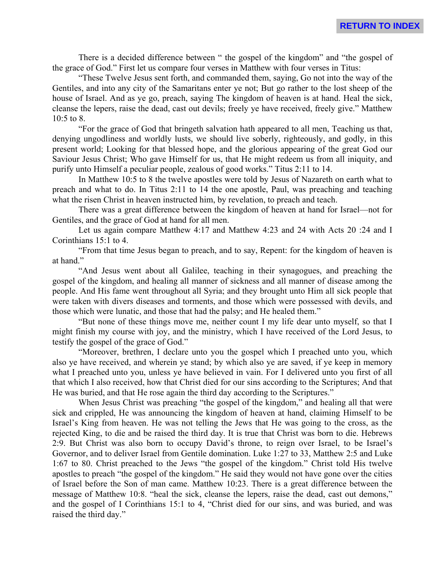There is a decided difference between " the gospel of the kingdom" and "the gospel of the grace of God." First let us compare four verses in Matthew with four verses in Titus:

"These Twelve Jesus sent forth, and commanded them, saying, Go not into the way of the Gentiles, and into any city of the Samaritans enter ye not; But go rather to the lost sheep of the house of Israel. And as ye go, preach, saying The kingdom of heaven is at hand. Heal the sick, cleanse the lepers, raise the dead, cast out devils; freely ye have received, freely give." Matthew 10:5 to 8.

"For the grace of God that bringeth salvation hath appeared to all men, Teaching us that, denying ungodliness and worldly lusts, we should live soberly, righteously, and godly, in this present world; Looking for that blessed hope, and the glorious appearing of the great God our Saviour Jesus Christ; Who gave Himself for us, that He might redeem us from all iniquity, and purify unto Himself a peculiar people, zealous of good works." Titus 2:11 to 14.

In Matthew 10:5 to 8 the twelve apostles were told by Jesus of Nazareth on earth what to preach and what to do. In Titus 2:11 to 14 the one apostle, Paul, was preaching and teaching what the risen Christ in heaven instructed him, by revelation, to preach and teach.

There was a great difference between the kingdom of heaven at hand for Israel—not for Gentiles, and the grace of God at hand for all men.

Let us again compare Matthew 4:17 and Matthew 4:23 and 24 with Acts 20 :24 and I Corinthians 15:1 to 4.

"From that time Jesus began to preach, and to say, Repent: for the kingdom of heaven is at hand."

"And Jesus went about all Galilee, teaching in their synagogues, and preaching the gospel of the kingdom, and healing all manner of sickness and all manner of disease among the people. And His fame went throughout all Syria; and they brought unto Him all sick people that were taken with divers diseases and torments, and those which were possessed with devils, and those which were lunatic, and those that had the palsy; and He healed them."

"But none of these things move me, neither count I my life dear unto myself, so that I might finish my course with joy, and the ministry, which I have received of the Lord Jesus, to testify the gospel of the grace of God."

"Moreover, brethren, I declare unto you the gospel which I preached unto you, which also ye have received, and wherein ye stand; by which also ye are saved, if ye keep in memory what I preached unto you, unless ye have believed in vain. For I delivered unto you first of all that which I also received, how that Christ died for our sins according to the Scriptures; And that He was buried, and that He rose again the third day according to the Scriptures."

When Jesus Christ was preaching "the gospel of the kingdom," and healing all that were sick and crippled, He was announcing the kingdom of heaven at hand, claiming Himself to be Israel's King from heaven. He was not telling the Jews that He was going to the cross, as the rejected King, to die and be raised the third day. It is true that Christ was born to die. Hebrews 2:9. But Christ was also born to occupy David's throne, to reign over Israel, to be Israel's Governor, and to deliver Israel from Gentile domination. Luke 1:27 to 33, Matthew 2:5 and Luke 1:67 to 80. Christ preached to the Jews "the gospel of the kingdom." Christ told His twelve apostles to preach "the gospel of the kingdom." He said they would not have gone over the cities of Israel before the Son of man came. Matthew 10:23. There is a great difference between the message of Matthew 10:8. "heal the sick, cleanse the lepers, raise the dead, cast out demons," and the gospel of I Corinthians 15:1 to 4, "Christ died for our sins, and was buried, and was raised the third day."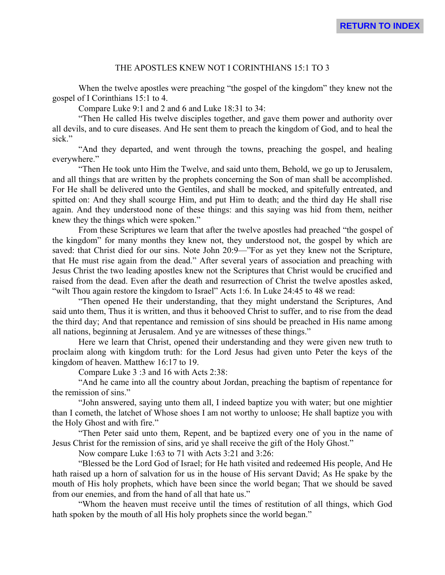# THE APOSTLES KNEW NOT I CORINTHIANS 15:1 TO 3

When the twelve apostles were preaching "the gospel of the kingdom" they knew not the gospel of I Corinthians 15:1 to 4.

Compare Luke 9:1 and 2 and 6 and Luke 18:31 to 34:

"Then He called His twelve disciples together, and gave them power and authority over all devils, and to cure diseases. And He sent them to preach the kingdom of God, and to heal the sick."

"And they departed, and went through the towns, preaching the gospel, and healing everywhere."

"Then He took unto Him the Twelve, and said unto them, Behold, we go up to Jerusalem, and all things that are written by the prophets concerning the Son of man shall be accomplished. For He shall be delivered unto the Gentiles, and shall be mocked, and spitefully entreated, and spitted on: And they shall scourge Him, and put Him to death; and the third day He shall rise again. And they understood none of these things: and this saying was hid from them, neither knew they the things which were spoken."

From these Scriptures we learn that after the twelve apostles had preached "the gospel of the kingdom" for many months they knew not, they understood not, the gospel by which are saved: that Christ died for our sins. Note John 20:9—"For as yet they knew not the Scripture, that He must rise again from the dead." After several years of association and preaching with Jesus Christ the two leading apostles knew not the Scriptures that Christ would be crucified and raised from the dead. Even after the death and resurrection of Christ the twelve apostles asked, "wilt Thou again restore the kingdom to Israel" Acts 1:6. In Luke 24:45 to 48 we read:

"Then opened He their understanding, that they might understand the Scriptures, And said unto them, Thus it is written, and thus it behooved Christ to suffer, and to rise from the dead the third day; And that repentance and remission of sins should be preached in His name among all nations, beginning at Jerusalem. And ye are witnesses of these things."

Here we learn that Christ, opened their understanding and they were given new truth to proclaim along with kingdom truth: for the Lord Jesus had given unto Peter the keys of the kingdom of heaven. Matthew 16:17 to 19.

Compare Luke 3 :3 and 16 with Acts 2:38:

"And he came into all the country about Jordan, preaching the baptism of repentance for the remission of sins."

"John answered, saying unto them all, I indeed baptize you with water; but one mightier than I cometh, the latchet of Whose shoes I am not worthy to unloose; He shall baptize you with the Holy Ghost and with fire."

"Then Peter said unto them, Repent, and be baptized every one of you in the name of Jesus Christ for the remission of sins, arid ye shall receive the gift of the Holy Ghost."

Now compare Luke 1:63 to 71 with Acts 3:21 and 3:26:

"Blessed be the Lord God of Israel; for He hath visited and redeemed His people, And He hath raised up a horn of salvation for us in the house of His servant David; As He spake by the mouth of His holy prophets, which have been since the world began; That we should be saved from our enemies, and from the hand of all that hate us."

"Whom the heaven must receive until the times of restitution of all things, which God hath spoken by the mouth of all His holy prophets since the world began."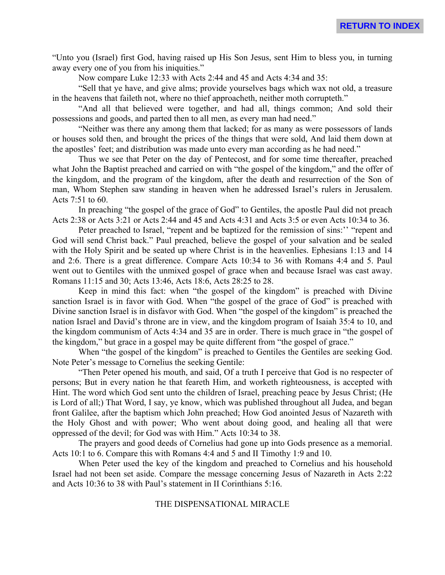"Unto you (Israel) first God, having raised up His Son Jesus, sent Him to bless you, in turning away every one of you from his iniquities."

Now compare Luke 12:33 with Acts 2:44 and 45 and Acts 4:34 and 35:

"Sell that ye have, and give alms; provide yourselves bags which wax not old, a treasure in the heavens that faileth not, where no thief approacheth, neither moth corrupteth."

"And all that believed were together, and had all, things common; And sold their possessions and goods, and parted then to all men, as every man had need."

"Neither was there any among them that lacked; for as many as were possessors of lands or houses sold then, and brought the prices of the things that were sold, And laid them down at the apostles' feet; and distribution was made unto every man according as he had need."

Thus we see that Peter on the day of Pentecost, and for some time thereafter, preached what John the Baptist preached and carried on with "the gospel of the kingdom," and the offer of the kingdom, and the program of the kingdom, after the death and resurrection of the Son of man, Whom Stephen saw standing in heaven when he addressed Israel's rulers in Jerusalem. Acts 7:51 to 60.

In preaching "the gospel of the grace of God" to Gentiles, the apostle Paul did not preach Acts 2:38 or Acts 3:21 or Acts 2:44 and 45 and Acts 4:31 and Acts 3:5 or even Acts 10:34 to 36.

Peter preached to Israel, "repent and be baptized for the remission of sins:" "repent and God will send Christ back." Paul preached, believe the gospel of your salvation and be sealed with the Holy Spirit and be seated up where Christ is in the heavenlies. Ephesians 1:13 and 14 and 2:6. There is a great difference. Compare Acts 10:34 to 36 with Romans 4:4 and 5. Paul went out to Gentiles with the unmixed gospel of grace when and because Israel was cast away. Romans 11:15 and 30; Acts 13:46, Acts 18:6, Acts 28:25 to 28.

Keep in mind this fact: when "the gospel of the kingdom" is preached with Divine sanction Israel is in favor with God. When "the gospel of the grace of God" is preached with Divine sanction Israel is in disfavor with God. When "the gospel of the kingdom" is preached the nation Israel and David's throne are in view, and the kingdom program of Isaiah 35:4 to 10, and the kingdom communism of Acts 4:34 and 35 are in order. There is much grace in "the gospel of the kingdom," but grace in a gospel may be quite different from "the gospel of grace."

When "the gospel of the kingdom" is preached to Gentiles the Gentiles are seeking God. Note Peter's message to Cornelius the seeking Gentile:

"Then Peter opened his mouth, and said, Of a truth I perceive that God is no respecter of persons; But in every nation he that feareth Him, and worketh righteousness, is accepted with Hint. The word which God sent unto the children of Israel, preaching peace by Jesus Christ; (He is Lord of all;) That Word, I say, ye know, which was published throughout all Judea, and began front Galilee, after the baptism which John preached; How God anointed Jesus of Nazareth with the Holy Ghost and with power; Who went about doing good, and healing all that were oppressed of the devil; for God was with Him." Acts 10:34 to 38.

The prayers and good deeds of Cornelius had gone up into Gods presence as a memorial. Acts 10:1 to 6. Compare this with Romans 4:4 and 5 and II Timothy 1:9 and 10.

When Peter used the key of the kingdom and preached to Cornelius and his household Israel had not been set aside. Compare the message concerning Jesus of Nazareth in Acts 2:22 and Acts 10:36 to 38 with Paul's statement in II Corinthians 5:16.

#### THE DISPENSATIONAL MIRACLE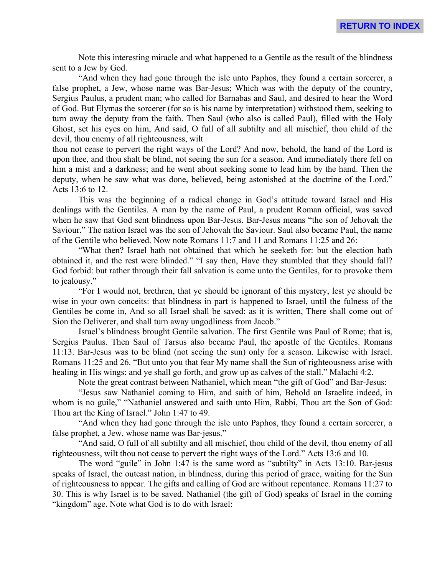Note this interesting miracle and what happened to a Gentile as the result of the blindness sent to a Jew by God.

"And when they had gone through the isle unto Paphos, they found a certain sorcerer, a false prophet, a Jew, whose name was Bar-Jesus; Which was with the deputy of the country, Sergius Paulus, a prudent man; who called for Barnabas and Saul, and desired to hear the Word of God. But Elymas the sorcerer (for so is his name by interpretation) withstood them, seeking to turn away the deputy from the faith. Then Saul (who also is called Paul), filled with the Holy Ghost, set his eyes on him, And said, O full of all subtilty and all mischief, thou child of the devil, thou enemy of all righteousness, wilt

thou not cease to pervert the right ways of the Lord? And now, behold, the hand of the Lord is upon thee, and thou shalt be blind, not seeing the sun for a season. And immediately there fell on him a mist and a darkness; and he went about seeking some to lead him by the hand. Then the deputy, when he saw what was done, believed, being astonished at the doctrine of the Lord." Acts 13:6 to 12.

This was the beginning of a radical change in God's attitude toward Israel and His dealings with the Gentiles. A man by the name of Paul, a prudent Roman official, was saved when he saw that God sent blindness upon Bar-Jesus. Bar-Jesus means "the son of Jehovah the Saviour." The nation Israel was the son of Jehovah the Saviour. Saul also became Paul, the name of the Gentile who believed. Now note Romans 11:7 and 11 and Romans 11:25 and 26:

"What then? Israel hath not obtained that which he seeketh for: but the election hath obtained it, and the rest were blinded." "I say then, Have they stumbled that they should fall? God forbid: but rather through their fall salvation is come unto the Gentiles, for to provoke them to jealousy."

"For I would not, brethren, that ye should be ignorant of this mystery, lest ye should be wise in your own conceits: that blindness in part is happened to Israel, until the fulness of the Gentiles be come in, And so all Israel shall be saved: as it is written, There shall come out of Sion the Deliverer, and shall turn away ungodliness from Jacob."

Israel's blindness brought Gentile salvation. The first Gentile was Paul of Rome; that is, Sergius Paulus. Then Saul of Tarsus also became Paul, the apostle of the Gentiles. Romans 11:13. Bar-Jesus was to be blind (not seeing the sun) only for a season. Likewise with Israel. Romans 11:25 and 26. "But unto you that fear My name shall the Sun of righteousness arise with healing in His wings: and ye shall go forth, and grow up as calves of the stall." Malachi 4:2.

Note the great contrast between Nathaniel, which mean "the gift of God" and Bar-Jesus:

"Jesus saw Nathaniel coming to Him, and saith of him, Behold an Israelite indeed, in whom is no guile," "Nathaniel answered and saith unto Him, Rabbi, Thou art the Son of God: Thou art the King of Israel." John 1:47 to 49.

"And when they had gone through the isle unto Paphos, they found a certain sorcerer, a false prophet, a Jew, whose name was Bar-jesus."

"And said, O full of all subtilty and all mischief, thou child of the devil, thou enemy of all righteousness, wilt thou not cease to pervert the right ways of the Lord." Acts 13:6 and 10.

The word "guile" in John 1:47 is the same word as "subtilty" in Acts 13:10. Bar-jesus speaks of Israel, the outcast nation, in blindness, during this period of grace, waiting for the Sun of righteousness to appear. The gifts and calling of God are without repentance. Romans 11:27 to 30. This is why Israel is to be saved. Nathaniel (the gift of God) speaks of Israel in the coming "kingdom" age. Note what God is to do with Israel: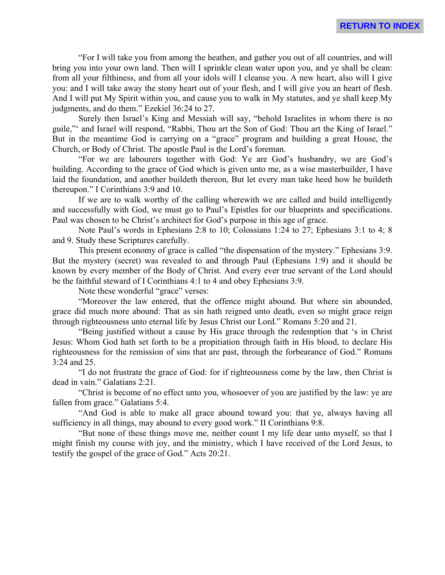"For I will take you from among the heathen, and gather you out of all countries, and will bring you into your own land. Then will I sprinkle clean water upon you, and ye shall be clean: from all your filthiness, and from all your idols will I cleanse you. A new heart, also will I give you: and I will take away the stony heart out of your flesh, and I will give you an heart of flesh. And I will put My Spirit within you, and cause you to walk in My statutes, and ye shall keep My judgments, and do them." Ezekiel 36:24 to 27.

Surely then Israel's King and Messiah will say, "behold Israelites in whom there is no guile,"' and Israel will respond, "Rabbi, Thou art the Son of God: Thou art the King of Israel." But in the meantime God is carrying on a "grace" program and building a great House, the Church, or Body of Christ. The apostle Paul is the Lord's foreman.

"For we are labourers together with God: Ye are God's husbandry, we are God's building. According to the grace of God which is given unto me, as a wise masterbuilder, I have laid the foundation, and another buildeth thereon, But let every man take heed how he buildeth thereupon." I Corinthians 3:9 and 10.

If we are to walk worthy of the calling wherewith we are called and build intelligently and successfully with God, we must go to Paul's Epistles for our blueprints and specifications. Paul was chosen to be Christ's architect for God's purpose in this age of grace.

Note Paul's words in Ephesians 2:8 to 10; Colossians 1:24 to 27; Ephesians 3:1 to 4; 8 and 9. Study these Scriptures carefully.

This present economy of grace is called "the dispensation of the mystery." Ephesians 3:9. But the mystery (secret) was revealed to and through Paul (Ephesians 1:9) and it should be known by every member of the Body of Christ. And every ever true servant of the Lord should be the faithful steward of I Corinthians 4:1 to 4 and obey Ephesians 3:9.

Note these wonderful "grace" verses:

"Moreover the law entered, that the offence might abound. But where sin abounded, grace did much more abound: That as sin hath reigned unto death, even so might grace reign through righteousness unto eternal life by Jesus Christ our Lord." Romans 5:20 and 21.

"Being justified without a cause by His grace through the redemption that 's in Christ Jesus: Whom God hath set forth to be a propitiation through faith in His blood, to declare His righteousness for the remission of sins that are past, through the forbearance of God." Romans 3:24 and 25.

"I do not frustrate the grace of God: for if righteousness come by the law, then Christ is dead in vain." Galatians 2:21.

"Christ is become of no effect unto you, whosoever of you are justified by the law: ye are fallen from grace." Galatians 5:4.

"And God is able to make all grace abound toward you: that ye, always having all sufficiency in all things, may abound to every good work." II Corinthians 9:8.

"But none of these things move me, neither count I my life dear unto myself, so that I might finish my course with joy, and the ministry, which I have received of the Lord Jesus, to testify the gospel of the grace of God." Acts 20:21.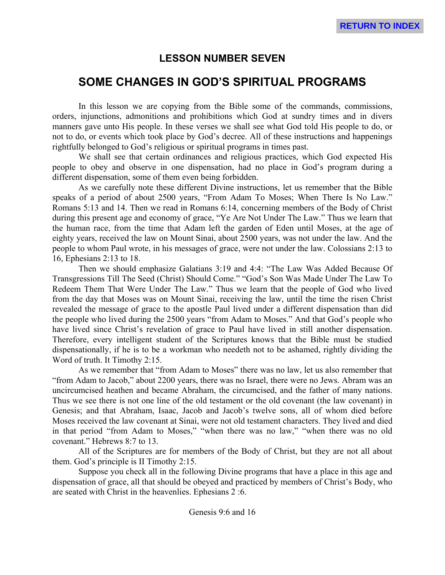# **LESSON NUMBER SEVEN**

# **SOME CHANGES IN GOD'S SPIRITUAL PROGRAMS**

In this lesson we are copying from the Bible some of the commands, commissions, orders, injunctions, admonitions and prohibitions which God at sundry times and in divers manners gave unto His people. In these verses we shall see what God told His people to do, or not to do, or events which took place by God's decree. All of these instructions and happenings rightfully belonged to God's religious or spiritual programs in times past.

We shall see that certain ordinances and religious practices, which God expected His people to obey and observe in one dispensation, had no place in God's program during a different dispensation, some of them even being forbidden.

As we carefully note these different Divine instructions, let us remember that the Bible speaks of a period of about 2500 years, "From Adam To Moses; When There Is No Law." Romans 5:13 and 14. Then we read in Romans 6:14, concerning members of the Body of Christ during this present age and economy of grace, "Ye Are Not Under The Law." Thus we learn that the human race, from the time that Adam left the garden of Eden until Moses, at the age of eighty years, received the law on Mount Sinai, about 2500 years, was not under the law. And the people to whom Paul wrote, in his messages of grace, were not under the law. Colossians 2:13 to 16, Ephesians 2:13 to 18.

Then we should emphasize Galatians 3:19 and 4:4: "The Law Was Added Because Of Transgressions Till The Seed (Christ) Should Come." "God's Son Was Made Under The Law To Redeem Them That Were Under The Law." Thus we learn that the people of God who lived from the day that Moses was on Mount Sinai, receiving the law, until the time the risen Christ revealed the message of grace to the apostle Paul lived under a different dispensation than did the people who lived during the 2500 years "from Adam to Moses." And that God's people who have lived since Christ's revelation of grace to Paul have lived in still another dispensation. Therefore, every intelligent student of the Scriptures knows that the Bible must be studied dispensationally, if he is to be a workman who needeth not to be ashamed, rightly dividing the Word of truth. It Timothy 2:15.

As we remember that "from Adam to Moses" there was no law, let us also remember that "from Adam to Jacob," about 2200 years, there was no Israel, there were no Jews. Abram was an uncircumcised heathen and became Abraham, the circumcised, and the father of many nations. Thus we see there is not one line of the old testament or the old covenant (the law covenant) in Genesis; and that Abraham, Isaac, Jacob and Jacob's twelve sons, all of whom died before Moses received the law covenant at Sinai, were not old testament characters. They lived and died in that period "from Adam to Moses," "when there was no law," "when there was no old covenant." Hebrews 8:7 to 13.

All of the Scriptures are for members of the Body of Christ, but they are not all about them. God's principle is II Timothy 2:15.

Suppose you check all in the following Divine programs that have a place in this age and dispensation of grace, all that should be obeyed and practiced by members of Christ's Body, who are seated with Christ in the heavenlies. Ephesians 2 :6.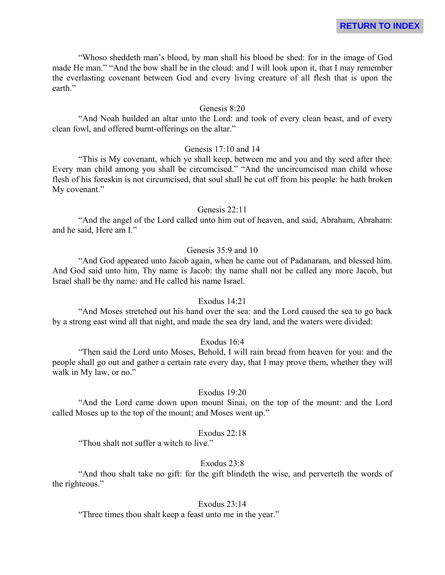"Whoso sheddeth man's blood, by man shall his blood be shed: for in the image of God made He man." "And the bow shall be in the cloud: and I will look upon it, that I may remember the everlasting covenant between God and every living creature of all flesh that is upon the earth."

# Genesis 8:20

"And Noah builded an altar unto the Lord: and took of every clean beast, and of every clean fowl, and offered burnt-offerings on the altar."

#### Genesis 17:10 and 14

"This is My covenant, which ye shall keep, between me and you and thy seed after thee: Every man child among you shall be circumcised." "And the uncircumcised man child whose flesh of his foreskin is not circumcised, that soul shall be cut off from his people: he hath broken My covenant."

#### Genesis 22:11

"And the angel of the Lord called unto him out of heaven, and said, Abraham, Abraham: and he said, Here am I."

#### Genesis 35:9 and 10

"And God appeared unto Jacob again, when he came out of Padanaram, and blessed him. And God said unto him, Thy name is Jacob: thy name shall not be called any more Jacob, but Israel shall be thy name: and He called his name Israel.

#### Exodus 14:21

"And Moses stretched out his hand over the sea: and the Lord caused the sea to go back by a strong east wind all that night, and made the sea dry land, and the waters were divided:

#### Exodus 16:4

"Then said the Lord unto Moses, Behold, I will rain bread from heaven for you: and the people shall go out and gather a certain rate every day, that I may prove them, whether they will walk in My law, or no."

# Exodus 19:20

"And the Lord came down upon mount Sinai, on the top of the mount: and the Lord called Moses up to the top of the mount; and Moses went up."

#### Exodus 22:18

"Thou shalt not suffer a witch to live."

# Exodus 23:8

"And thou shalt take no gift: for the gift blindeth the wise, and perverteth the words of the righteous."

#### Exodus 23:14

"Three times thou shalt keep a feast unto me in the year."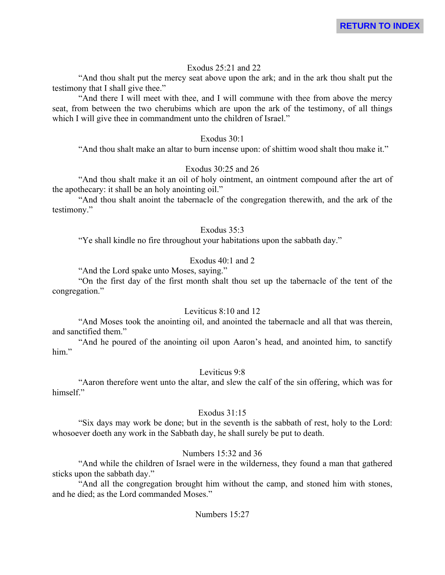### Exodus 25:21 and 22

"And thou shalt put the mercy seat above upon the ark; and in the ark thou shalt put the testimony that I shall give thee."

"And there I will meet with thee, and I will commune with thee from above the mercy seat, from between the two cherubims which are upon the ark of the testimony, of all things which I will give thee in commandment unto the children of Israel."

#### Exodus 30:1

"And thou shalt make an altar to burn incense upon: of shittim wood shalt thou make it."

# Exodus 30:25 and 26

"And thou shalt make it an oil of holy ointment, an ointment compound after the art of the apothecary: it shall be an holy anointing oil."

"And thou shalt anoint the tabernacle of the congregation therewith, and the ark of the testimony."

#### Exodus 35:3

"Ye shall kindle no fire throughout your habitations upon the sabbath day."

# Exodus 40:1 and 2

"And the Lord spake unto Moses, saying."

"On the first day of the first month shalt thou set up the tabernacle of the tent of the congregation."

# Leviticus 8:10 and 12

"And Moses took the anointing oil, and anointed the tabernacle and all that was therein, and sanctified them."

"And he poured of the anointing oil upon Aaron's head, and anointed him, to sanctify him."

# Leviticus 9:8

"Aaron therefore went unto the altar, and slew the calf of the sin offering, which was for himself."

# Exodus  $31:15$

"Six days may work be done; but in the seventh is the sabbath of rest, holy to the Lord: whosoever doeth any work in the Sabbath day, he shall surely be put to death.

# Numbers 15:32 and 36

"And while the children of Israel were in the wilderness, they found a man that gathered sticks upon the sabbath day."

"And all the congregation brought him without the camp, and stoned him with stones, and he died; as the Lord commanded Moses."

#### Numbers 15:27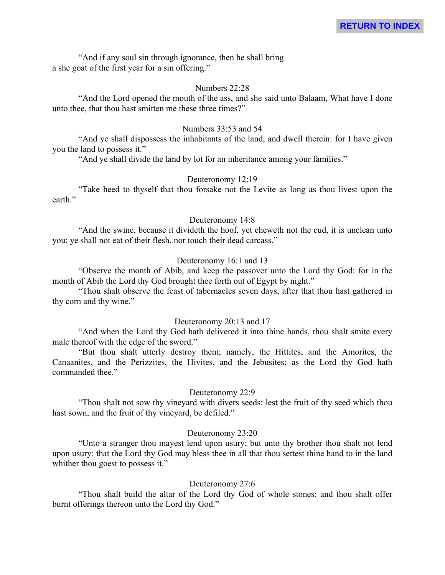"And if any soul sin through ignorance, then he shall bring a she goat of the first year for a sin offering."

#### Numbers 22:28

"And the Lord opened the mouth of the ass, and she said unto Balaam, What have I done unto thee, that thou hast smitten me these three times?"

### Numbers 33:53 and 54

"And ye shall dispossess the inhabitants of the land, and dwell therein: for I have given you the land to possess it."

"And ye shall divide the land by lot for an inheritance among your families."

# Deuteronomy 12:19

"Take heed to thyself that thou forsake not the Levite as long as thou livest upon the earth."

#### Deuteronomy 14:8

"And the swine, because it divideth the hoof, yet cheweth not the cud, it is unclean unto you: ye shall not eat of their flesh, nor touch their dead carcass."

#### Deuteronomy 16:1 and 13

"Observe the month of Abib, and keep the passover unto the Lord thy God: for in the month of Abib the Lord thy God brought thee forth out of Egypt by night."

"Thou shalt observe the feast of tabernacles seven days, after that thou hast gathered in thy corn and thy wine."

#### Deuteronomy 20:13 and 17

"And when the Lord thy God hath delivered it into thine hands, thou shalt smite every male thereof with the edge of the sword."

"But thou shalt utterly destroy them; namely, the Hittites, and the Amorites, the Canaanites, and the Perizzites, the Hivites, and the Jebusites; as the Lord thy God hath commanded thee."

#### Deuteronomy 22:9

"Thou shalt not sow thy vineyard with divers seeds: lest the fruit of thy seed which thou hast sown, and the fruit of thy vineyard, be defiled."

#### Deuteronomy 23:20

"Unto a stranger thou mayest lend upon usury; but unto thy brother thou shalt not lend upon usury: that the Lord thy God may bless thee in all that thou settest thine hand to in the land whither thou goest to possess it."

# Deuteronomy 27:6

"Thou shalt build the altar of the Lord thy God of whole stones: and thou shalt offer burnt offerings thereon unto the Lord thy God."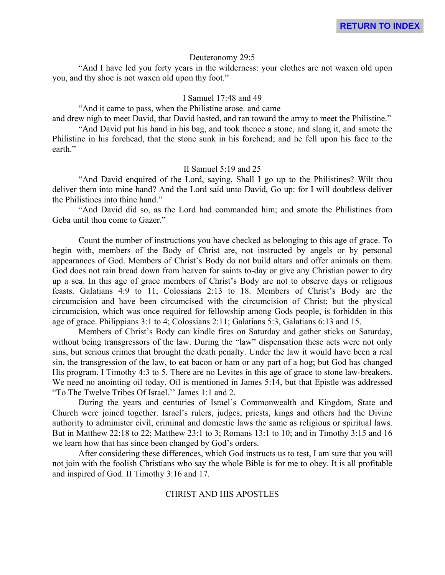#### Deuteronomy 29:5

"And I have led you forty years in the wilderness: your clothes are not waxen old upon you, and thy shoe is not waxen old upon thy foot."

#### I Samuel 17:48 and 49

"And it came to pass, when the Philistine arose. and came and drew nigh to meet David, that David hasted, and ran toward the army to meet the Philistine."

"And David put his hand in his bag, and took thence a stone, and slang it, and smote the Philistine in his forehead, that the stone sunk in his forehead; and he fell upon his face to the earth."

#### II Samuel 5:19 and 25

"And David enquired of the Lord, saying, Shall I go up to the Philistines? Wilt thou deliver them into mine hand? And the Lord said unto David, Go up: for I will doubtless deliver the Philistines into thine hand."

"And David did so, as the Lord had commanded him; and smote the Philistines from Geba until thou come to Gazer."

Count the number of instructions you have checked as belonging to this age of grace. To begin with, members of the Body of Christ are, not instructed by angels or by personal appearances of God. Members of Christ's Body do not build altars and offer animals on them. God does not rain bread down from heaven for saints to-day or give any Christian power to dry up a sea. In this age of grace members of Christ's Body are not to observe days or religious feasts. Galatians 4:9 to 11, Colossians 2:13 to 18. Members of Christ's Body are the circumcision and have been circumcised with the circumcision of Christ; but the physical circumcision, which was once required for fellowship among Gods people, is forbidden in this age of grace. Philippians 3:1 to 4; Colossians 2:11; Galatians 5:3, Galatians 6:13 and 15.

Members of Christ's Body can kindle fires on Saturday and gather sticks on Saturday, without being transgressors of the law. During the "law" dispensation these acts were not only sins, but serious crimes that brought the death penalty. Under the law it would have been a real sin, the transgression of the law, to eat bacon or ham or any part of a hog; but God has changed His program. I Timothy 4:3 to 5. There are no Levites in this age of grace to stone law-breakers. We need no anointing oil today. Oil is mentioned in James 5:14, but that Epistle was addressed "To The Twelve Tribes Of Israel.'' James 1:1 and 2.

During the years and centuries of Israel's Commonwealth and Kingdom, State and Church were joined together. Israel's rulers, judges, priests, kings and others had the Divine authority to administer civil, criminal and domestic laws the same as religious or spiritual laws. But in Matthew 22:18 to 22; Matthew 23:1 to 3; Romans 13:1 to 10; and in Timothy 3:15 and 16 we learn how that has since been changed by God's orders.

After considering these differences, which God instructs us to test, I am sure that you will not join with the foolish Christians who say the whole Bible is for me to obey. It is all profitable and inspired of God. II Timothy 3:16 and 17.

#### CHRIST AND HIS APOSTLES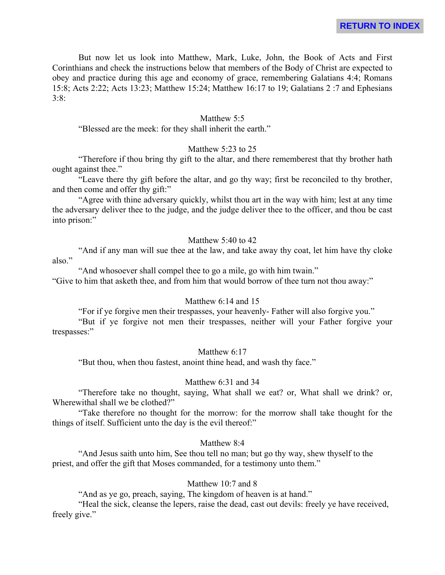But now let us look into Matthew, Mark, Luke, John, the Book of Acts and First Corinthians and check the instructions below that members of the Body of Christ are expected to obey and practice during this age and economy of grace, remembering Galatians 4:4; Romans 15:8; Acts 2:22; Acts 13:23; Matthew 15:24; Matthew 16:17 to 19; Galatians 2 :7 and Ephesians 3:8:

#### Matthew 5:5

"Blessed are the meek: for they shall inherit the earth."

# Matthew 5:23 to 25

"Therefore if thou bring thy gift to the altar, and there rememberest that thy brother hath ought against thee."

"Leave there thy gift before the altar, and go thy way; first be reconciled to thy brother, and then come and offer thy gift:"

"Agree with thine adversary quickly, whilst thou art in the way with him; lest at any time the adversary deliver thee to the judge, and the judge deliver thee to the officer, and thou be cast into prison:"

### Matthew 5:40 to 42

"And if any man will sue thee at the law, and take away thy coat, let him have thy cloke also."

"And whosoever shall compel thee to go a mile, go with him twain."

"Give to him that asketh thee, and from him that would borrow of thee turn not thou away:"

#### Matthew 6:14 and 15

"For if ye forgive men their trespasses, your heavenly- Father will also forgive you."

"But if ye forgive not men their trespasses, neither will your Father forgive your trespasses:"

Matthew 6:17

"But thou, when thou fastest, anoint thine head, and wash thy face."

#### Matthew 6:31 and 34

"Therefore take no thought, saying, What shall we eat? or, What shall we drink? or, Wherewithal shall we be clothed?"

"Take therefore no thought for the morrow: for the morrow shall take thought for the things of itself. Sufficient unto the day is the evil thereof:"

#### Matthew 8:4

"And Jesus saith unto him, See thou tell no man; but go thy way, shew thyself to the priest, and offer the gift that Moses commanded, for a testimony unto them."

### Matthew 10:7 and 8

"And as ye go, preach, saying, The kingdom of heaven is at hand."

"Heal the sick, cleanse the lepers, raise the dead, cast out devils: freely ye have received, freely give."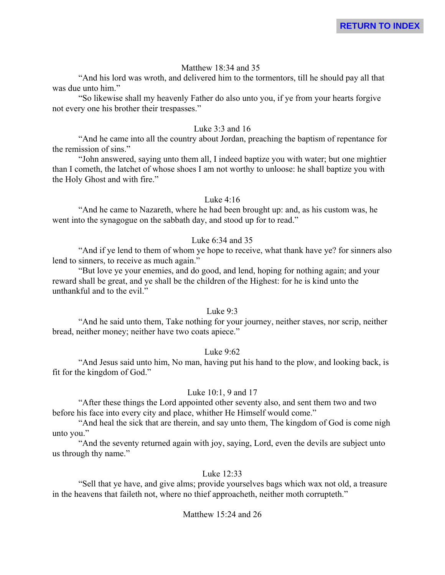### Matthew 18:34 and 35

"And his lord was wroth, and delivered him to the tormentors, till he should pay all that was due unto him."

"So likewise shall my heavenly Father do also unto you, if ye from your hearts forgive not every one his brother their trespasses."

#### Luke 3:3 and 16

"And he came into all the country about Jordan, preaching the baptism of repentance for the remission of sins."

"John answered, saying unto them all, I indeed baptize you with water; but one mightier than I cometh, the latchet of whose shoes I am not worthy to unloose: he shall baptize you with the Holy Ghost and with fire."

### Luke 4:16

"And he came to Nazareth, where he had been brought up: and, as his custom was, he went into the synagogue on the sabbath day, and stood up for to read."

# Luke 6:34 and 35

"And if ye lend to them of whom ye hope to receive, what thank have ye? for sinners also lend to sinners, to receive as much again."

"But love ye your enemies, and do good, and lend, hoping for nothing again; and your reward shall be great, and ye shall be the children of the Highest: for he is kind unto the unthankful and to the evil."

# Luke 9:3

"And he said unto them, Take nothing for your journey, neither staves, nor scrip, neither bread, neither money; neither have two coats apiece."

#### Luke 9:62

"And Jesus said unto him, No man, having put his hand to the plow, and looking back, is fit for the kingdom of God."

# Luke 10:1, 9 and 17

"After these things the Lord appointed other seventy also, and sent them two and two before his face into every city and place, whither He Himself would come."

"And heal the sick that are therein, and say unto them, The kingdom of God is come nigh unto you."

"And the seventy returned again with joy, saying, Lord, even the devils are subject unto us through thy name."

#### Luke  $12:33$

"Sell that ye have, and give alms; provide yourselves bags which wax not old, a treasure in the heavens that faileth not, where no thief approacheth, neither moth corrupteth."

#### Matthew 15:24 and 26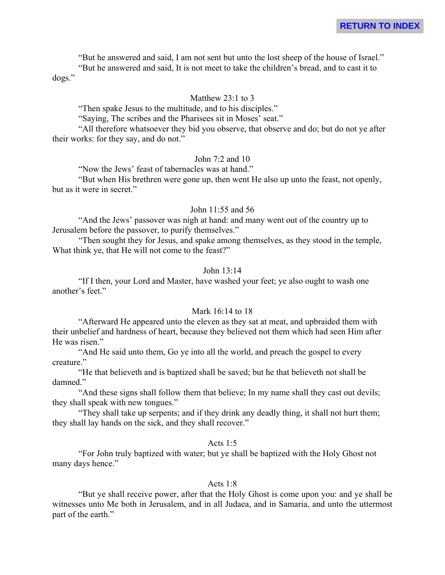"But he answered and said, I am not sent but unto the lost sheep of the house of Israel."

"But he answered and said, It is not meet to take the children's bread, and to cast it to dogs."

#### Matthew 23:1 to 3

"Then spake Jesus to the multitude, and to his disciples."

"Saying, The scribes and the Pharisees sit in Moses' seat."

"All therefore whatsoever they bid you observe, that observe and do; but do not ye after their works: for they say, and do not."

#### John 7:2 and 10

"Now the Jews' feast of tabernacles was at hand."

"But when His brethren were gone up, then went He also up unto the feast, not openly, but as it were in secret."

#### John 11:55 and 56

"And the Jews' passover was nigh at hand: and many went out of the country up to Jerusalem before the passover, to purify themselves."

"Then sought they for Jesus, and spake among themselves, as they stood in the temple, What think ye, that He will not come to the feast?"

# John 13:14

"If I then, your Lord and Master, have washed your feet; ye also ought to wash one another's feet."

# Mark 16:14 to 18

"Afterward He appeared unto the eleven as they sat at meat, and upbraided them with their unbelief and hardness of heart, because they believed not them which had seen Him after He was risen."

"And He said unto them, Go ye into all the world, and preach the gospel to every creature."

"He that believeth and is baptized shall be saved; but he that believeth not shall be damned."

"And these signs shall follow them that believe; In my name shall they cast out devils; they shall speak with new tongues."

"They shall take up serpents; and if they drink any deadly thing, it shall not hurt them; they shall lay hands on the sick, and they shall recover."

# Acts 1:5

"For John truly baptized with water; but ye shall be baptized with the Holy Ghost not many days hence."

### Acts 1:8

"But ye shall receive power, after that the Holy Ghost is come upon you: and ye shall be witnesses unto Me both in Jerusalem, and in all Judaea, and in Samaria, and unto the uttermost part of the earth."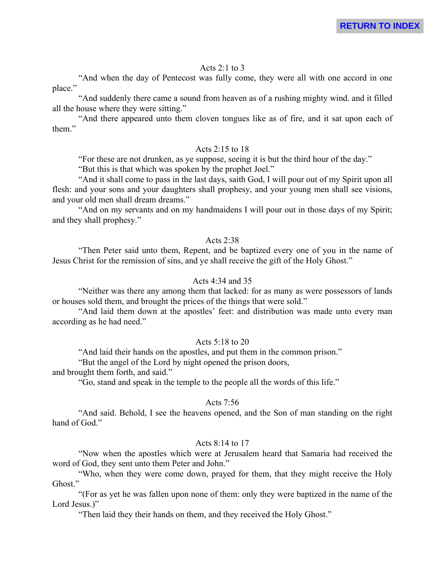# Acts 2:1 to 3

"And when the day of Pentecost was fully come, they were all with one accord in one place."

"And suddenly there came a sound from heaven as of a rushing mighty wind. and it filled all the house where they were sitting."

"And there appeared unto them cloven tongues like as of fire, and it sat upon each of them."

#### Acts 2:15 to 18

"For these are not drunken, as ye suppose, seeing it is but the third hour of the day."

"But this is that which was spoken by the prophet Joel."

"And it shall come to pass in the last days, saith God, I will pour out of my Spirit upon all flesh: and your sons and your daughters shall prophesy, and your young men shall see visions, and your old men shall dream dreams."

"And on my servants and on my handmaidens I will pour out in those days of my Spirit; and they shall prophesy."

#### Acts 2:38

"Then Peter said unto them, Repent, and be baptized every one of you in the name of Jesus Christ for the remission of sins, and ye shall receive the gift of the Holy Ghost."

## Acts  $4.34$  and  $35$

"Neither was there any among them that lacked: for as many as were possessors of lands or houses sold them, and brought the prices of the things that were sold."

"And laid them down at the apostles' feet: and distribution was made unto every man according as he had need."

#### Acts 5:18 to 20

"And laid their hands on the apostles, and put them in the common prison."

"But the angel of the Lord by night opened the prison doors,

and brought them forth, and said."

"Go, stand and speak in the temple to the people all the words of this life."

#### Acts 7:56

"And said. Behold, I see the heavens opened, and the Son of man standing on the right hand of God."

#### Acts 8:14 to 17

"Now when the apostles which were at Jerusalem heard that Samaria had received the word of God, they sent unto them Peter and John."

"Who, when they were come down, prayed for them, that they might receive the Holy Ghost."

"(For as yet he was fallen upon none of them: only they were baptized in the name of the Lord Jesus.<sup>"</sup>

"Then laid they their hands on them, and they received the Holy Ghost."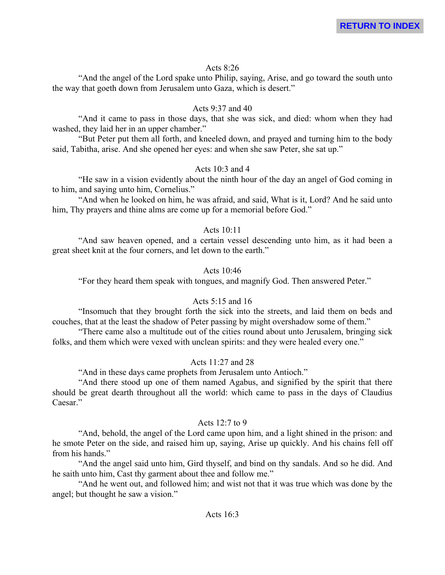# Acts 8:26

"And the angel of the Lord spake unto Philip, saying, Arise, and go toward the south unto the way that goeth down from Jerusalem unto Gaza, which is desert."

# Acts 9:37 and 40

"And it came to pass in those days, that she was sick, and died: whom when they had washed, they laid her in an upper chamber."

"But Peter put them all forth, and kneeled down, and prayed and turning him to the body said, Tabitha, arise. And she opened her eyes: and when she saw Peter, she sat up."

# Acts  $10.3$  and 4

"He saw in a vision evidently about the ninth hour of the day an angel of God coming in to him, and saying unto him, Cornelius."

"And when he looked on him, he was afraid, and said, What is it, Lord? And he said unto him, Thy prayers and thine alms are come up for a memorial before God."

# Acts  $10.11$

"And saw heaven opened, and a certain vessel descending unto him, as it had been a great sheet knit at the four corners, and let down to the earth."

# Acts 10:46

"For they heard them speak with tongues, and magnify God. Then answered Peter."

# Acts 5:15 and 16

"Insomuch that they brought forth the sick into the streets, and laid them on beds and couches, that at the least the shadow of Peter passing by might overshadow some of them."

"There came also a multitude out of the cities round about unto Jerusalem, bringing sick folks, and them which were vexed with unclean spirits: and they were healed every one."

# Acts 11:27 and 28

"And in these days came prophets from Jerusalem unto Antioch."

"And there stood up one of them named Agabus, and signified by the spirit that there should be great dearth throughout all the world: which came to pass in the days of Claudius Caesar."

# Acts 12:7 to 9

"And, behold, the angel of the Lord came upon him, and a light shined in the prison: and he smote Peter on the side, and raised him up, saying, Arise up quickly. And his chains fell off from his hands."

"And the angel said unto him, Gird thyself, and bind on thy sandals. And so he did. And he saith unto him, Cast thy garment about thee and follow me."

"And he went out, and followed him; and wist not that it was true which was done by the angel; but thought he saw a vision."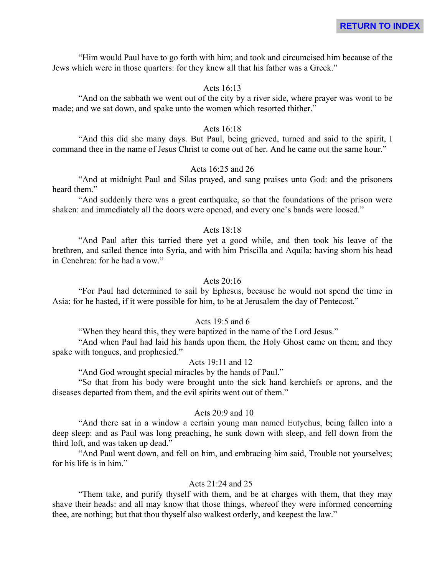"Him would Paul have to go forth with him; and took and circumcised him because of the Jews which were in those quarters: for they knew all that his father was a Greek."

#### Acts 16:13

"And on the sabbath we went out of the city by a river side, where prayer was wont to be made; and we sat down, and spake unto the women which resorted thither."

#### Acts 16:18

"And this did she many days. But Paul, being grieved, turned and said to the spirit, I command thee in the name of Jesus Christ to come out of her. And he came out the same hour."

# Acts 16:25 and 26

"And at midnight Paul and Silas prayed, and sang praises unto God: and the prisoners heard them."

"And suddenly there was a great earthquake, so that the foundations of the prison were shaken: and immediately all the doors were opened, and every one's bands were loosed."

#### Acts 18:18

"And Paul after this tarried there yet a good while, and then took his leave of the brethren, and sailed thence into Syria, and with him Priscilla and Aquila; having shorn his head in Cenchrea: for he had a vow."

## Acts  $20.16$

"For Paul had determined to sail by Ephesus, because he would not spend the time in Asia: for he hasted, if it were possible for him, to be at Jerusalem the day of Pentecost."

#### Acts 19:5 and 6

"When they heard this, they were baptized in the name of the Lord Jesus."

"And when Paul had laid his hands upon them, the Holy Ghost came on them; and they spake with tongues, and prophesied."

#### Acts 19:11 and 12

"And God wrought special miracles by the hands of Paul."

"So that from his body were brought unto the sick hand kerchiefs or aprons, and the diseases departed from them, and the evil spirits went out of them."

#### Acts 20:9 and 10

"And there sat in a window a certain young man named Eutychus, being fallen into a deep sleep: and as Paul was long preaching, he sunk down with sleep, and fell down from the third loft, and was taken up dead."

"And Paul went down, and fell on him, and embracing him said, Trouble not yourselves; for his life is in him."

#### Acts 21:24 and 25

"Them take, and purify thyself with them, and be at charges with them, that they may shave their heads: and all may know that those things, whereof they were informed concerning thee, are nothing; but that thou thyself also walkest orderly, and keepest the law."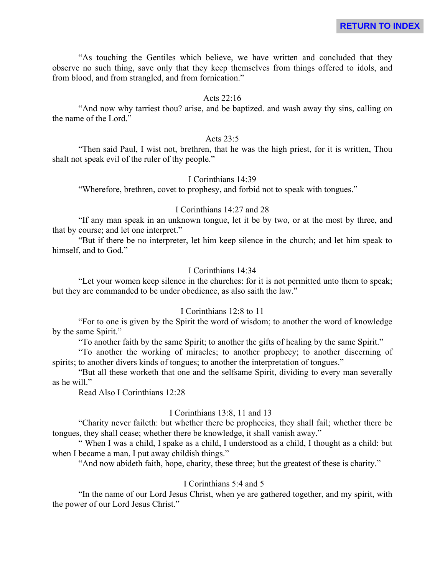"As touching the Gentiles which believe, we have written and concluded that they observe no such thing, save only that they keep themselves from things offered to idols, and from blood, and from strangled, and from fornication."

#### Acts 22:16

"And now why tarriest thou? arise, and be baptized. and wash away thy sins, calling on the name of the Lord."

#### Acts 23:5

"Then said Paul, I wist not, brethren, that he was the high priest, for it is written, Thou shalt not speak evil of the ruler of thy people."

# I Corinthians 14:39

"Wherefore, brethren, covet to prophesy, and forbid not to speak with tongues."

# I Corinthians 14:27 and 28

"If any man speak in an unknown tongue, let it be by two, or at the most by three, and that by course; and let one interpret."

"But if there be no interpreter, let him keep silence in the church; and let him speak to himself, and to God."

#### I Corinthians 14:34

"Let your women keep silence in the churches: for it is not permitted unto them to speak; but they are commanded to be under obedience, as also saith the law."

# I Corinthians 12:8 to 11

"For to one is given by the Spirit the word of wisdom; to another the word of knowledge by the same Spirit."

"To another faith by the same Spirit; to another the gifts of healing by the same Spirit."

"To another the working of miracles; to another prophecy; to another discerning of spirits; to another divers kinds of tongues; to another the interpretation of tongues."

"But all these worketh that one and the selfsame Spirit, dividing to every man severally as he will."

Read Also I Corinthians 12:28

#### I Corinthians 13:8, 11 and 13

"Charity never faileth: but whether there be prophecies, they shall fail; whether there be tongues, they shall cease; whether there be knowledge, it shall vanish away."

" When I was a child, I spake as a child, I understood as a child, I thought as a child: but when I became a man, I put away childish things."

"And now abideth faith, hope, charity, these three; but the greatest of these is charity."

### I Corinthians 5:4 and 5

"In the name of our Lord Jesus Christ, when ye are gathered together, and my spirit, with the power of our Lord Jesus Christ."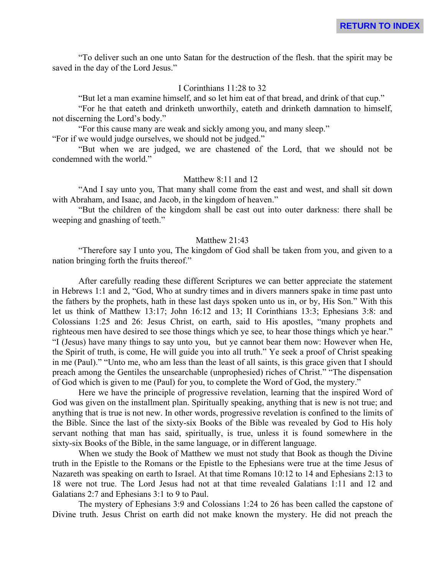"To deliver such an one unto Satan for the destruction of the flesh. that the spirit may be saved in the day of the Lord Jesus."

#### I Corinthians 11:28 to 32

"But let a man examine himself, and so let him eat of that bread, and drink of that cup."

"For he that eateth and drinketh unworthily, eateth and drinketh damnation to himself, not discerning the Lord's body."

"For this cause many are weak and sickly among you, and many sleep." "For if we would judge ourselves, we should not be judged."

"But when we are judged, we are chastened of the Lord, that we should not be condemned with the world."

# Matthew 8:11 and 12

"And I say unto you, That many shall come from the east and west, and shall sit down with Abraham, and Isaac, and Jacob, in the kingdom of heaven."

"But the children of the kingdom shall be cast out into outer darkness: there shall be weeping and gnashing of teeth."

### Matthew 21:43

"Therefore say I unto you, The kingdom of God shall be taken from you, and given to a nation bringing forth the fruits thereof."

After carefully reading these different Scriptures we can better appreciate the statement in Hebrews 1:1 and 2, "God, Who at sundry times and in divers manners spake in time past unto the fathers by the prophets, hath in these last days spoken unto us in, or by, His Son." With this let us think of Matthew 13:17; John 16:12 and 13; II Corinthians 13:3; Ephesians 3:8: and Colossians 1:25 and 26: Jesus Christ, on earth, said to His apostles, "many prophets and righteous men have desired to see those things which ye see, to hear those things which ye hear." "I (Jesus) have many things to say unto you, but ye cannot bear them now: However when He, the Spirit of truth, is come, He will guide you into all truth." Ye seek a proof of Christ speaking in me (Paul)." "Unto me, who am less than the least of all saints, is this grace given that I should preach among the Gentiles the unsearchable (unprophesied) riches of Christ." "The dispensation of God which is given to me (Paul) for you, to complete the Word of God, the mystery."

Here we have the principle of progressive revelation, learning that the inspired Word of God was given on the installment plan. Spiritually speaking, anything that is new is not true; and anything that is true is not new. In other words, progressive revelation is confined to the limits of the Bible. Since the last of the sixty-six Books of the Bible was revealed by God to His holy servant nothing that man has said, spiritually, is true, unless it is found somewhere in the sixty-six Books of the Bible, in the same language, or in different language.

When we study the Book of Matthew we must not study that Book as though the Divine truth in the Epistle to the Romans or the Epistle to the Ephesians were true at the time Jesus of Nazareth was speaking on earth to Israel. At that time Romans 10:12 to 14 and Ephesians 2:13 to 18 were not true. The Lord Jesus had not at that time revealed Galatians 1:11 and 12 and Galatians 2:7 and Ephesians 3:1 to 9 to Paul.

The mystery of Ephesians 3:9 and Colossians 1:24 to 26 has been called the capstone of Divine truth. Jesus Christ on earth did not make known the mystery. He did not preach the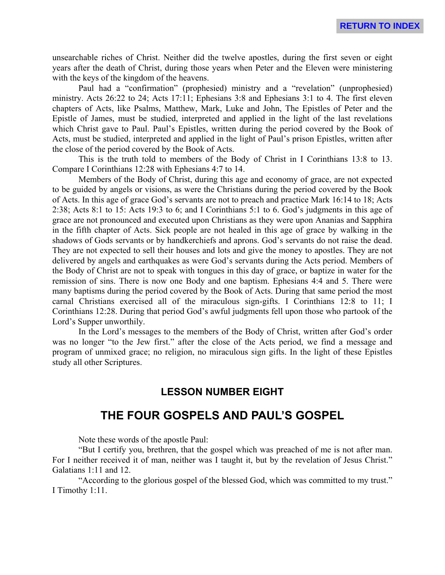unsearchable riches of Christ. Neither did the twelve apostles, during the first seven or eight years after the death of Christ, during those years when Peter and the Eleven were ministering with the keys of the kingdom of the heavens.

Paul had a "confirmation" (prophesied) ministry and a "revelation" (unprophesied) ministry. Acts 26:22 to 24; Acts 17:11; Ephesians 3:8 and Ephesians 3:1 to 4. The first eleven chapters of Acts, like Psalms, Matthew, Mark, Luke and John, The Epistles of Peter and the Epistle of James, must be studied, interpreted and applied in the light of the last revelations which Christ gave to Paul. Paul's Epistles, written during the period covered by the Book of Acts, must be studied, interpreted and applied in the light of Paul's prison Epistles, written after the close of the period covered by the Book of Acts.

This is the truth told to members of the Body of Christ in I Corinthians 13:8 to 13. Compare I Corinthians 12:28 with Ephesians 4:7 to 14.

Members of the Body of Christ, during this age and economy of grace, are not expected to be guided by angels or visions, as were the Christians during the period covered by the Book of Acts. In this age of grace God's servants are not to preach and practice Mark 16:14 to 18; Acts 2:38; Acts 8:1 to 15: Acts 19:3 to 6; and I Corinthians 5:1 to 6. God's judgments in this age of grace are not pronounced and executed upon Christians as they were upon Ananias and Sapphira in the fifth chapter of Acts. Sick people are not healed in this age of grace by walking in the shadows of Gods servants or by handkerchiefs and aprons. God's servants do not raise the dead. They are not expected to sell their houses and lots and give the money to apostles. They are not delivered by angels and earthquakes as were God's servants during the Acts period. Members of the Body of Christ are not to speak with tongues in this day of grace, or baptize in water for the remission of sins. There is now one Body and one baptism. Ephesians 4:4 and 5. There were many baptisms during the period covered by the Book of Acts. During that same period the most carnal Christians exercised all of the miraculous sign-gifts. I Corinthians 12:8 to 11; I Corinthians 12:28. During that period God's awful judgments fell upon those who partook of the Lord's Supper unworthily.

In the Lord's messages to the members of the Body of Christ, written after God's order was no longer "to the Jew first." after the close of the Acts period, we find a message and program of unmixed grace; no religion, no miraculous sign gifts. In the light of these Epistles study all other Scriptures.

# **LESSON NUMBER EIGHT**

# **THE FOUR GOSPELS AND PAUL'S GOSPEL**

Note these words of the apostle Paul:

"But I certify you, brethren, that the gospel which was preached of me is not after man. For I neither received it of man, neither was I taught it, but by the revelation of Jesus Christ." Galatians 1:11 and 12.

"According to the glorious gospel of the blessed God, which was committed to my trust." I Timothy 1:11.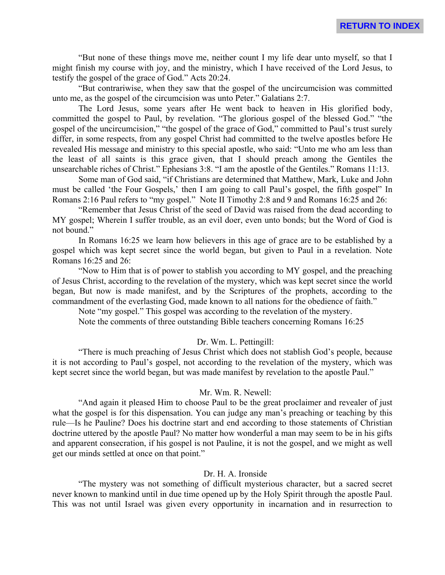"But none of these things move me, neither count I my life dear unto myself, so that I might finish my course with joy, and the ministry, which I have received of the Lord Jesus, to testify the gospel of the grace of God." Acts 20:24.

"But contrariwise, when they saw that the gospel of the uncircumcision was committed unto me, as the gospel of the circumcision was unto Peter." Galatians 2:7.

The Lord Jesus, some years after He went back to heaven in His glorified body, committed the gospel to Paul, by revelation. "The glorious gospel of the blessed God." "the gospel of the uncircumcision," "the gospel of the grace of God," committed to Paul's trust surely differ, in some respects, from any gospel Christ had committed to the twelve apostles before He revealed His message and ministry to this special apostle, who said: "Unto me who am less than the least of all saints is this grace given, that I should preach among the Gentiles the unsearchable riches of Christ." Ephesians 3:8. "I am the apostle of the Gentiles." Romans 11:13.

Some man of God said, "if Christians are determined that Matthew, Mark, Luke and John must be called 'the Four Gospels,' then I am going to call Paul's gospel, the fifth gospel" In Romans 2:16 Paul refers to "my gospel." Note II Timothy 2:8 and 9 and Romans 16:25 and 26:

"Remember that Jesus Christ of the seed of David was raised from the dead according to MY gospel; Wherein I suffer trouble, as an evil doer, even unto bonds; but the Word of God is not bound."

In Romans 16:25 we learn how believers in this age of grace are to be established by a gospel which was kept secret since the world began, but given to Paul in a revelation. Note Romans 16:25 and 26:

"Now to Him that is of power to stablish you according to MY gospel, and the preaching of Jesus Christ, according to the revelation of the mystery, which was kept secret since the world began, But now is made manifest, and by the Scriptures of the prophets, according to the commandment of the everlasting God, made known to all nations for the obedience of faith."

Note "my gospel." This gospel was according to the revelation of the mystery.

Note the comments of three outstanding Bible teachers concerning Romans 16:25

#### Dr. Wm. L. Pettingill:

"There is much preaching of Jesus Christ which does not stablish God's people, because it is not according to Paul's gospel, not according to the revelation of the mystery, which was kept secret since the world began, but was made manifest by revelation to the apostle Paul."

#### Mr. Wm. R. Newell:

"And again it pleased Him to choose Paul to be the great proclaimer and revealer of just what the gospel is for this dispensation. You can judge any man's preaching or teaching by this rule—Is he Pauline? Does his doctrine start and end according to those statements of Christian doctrine uttered by the apostle Paul? No matter how wonderful a man may seem to be in his gifts and apparent consecration, if his gospel is not Pauline, it is not the gospel, and we might as well get our minds settled at once on that point."

#### Dr. H. A. Ironside

"The mystery was not something of difficult mysterious character, but a sacred secret never known to mankind until in due time opened up by the Holy Spirit through the apostle Paul. This was not until Israel was given every opportunity in incarnation and in resurrection to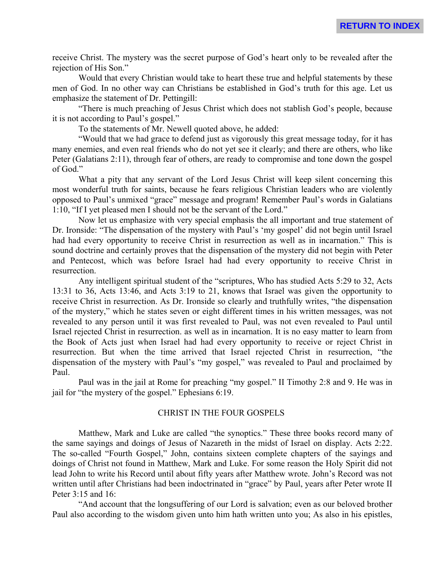receive Christ. The mystery was the secret purpose of God's heart only to be revealed after the rejection of His Son."

Would that every Christian would take to heart these true and helpful statements by these men of God. In no other way can Christians be established in God's truth for this age. Let us emphasize the statement of Dr. Pettingill:

"There is much preaching of Jesus Christ which does not stablish God's people, because it is not according to Paul's gospel."

To the statements of Mr. Newell quoted above, he added:

"Would that we had grace to defend just as vigorously this great message today, for it has many enemies, and even real friends who do not yet see it clearly; and there are others, who like Peter (Galatians 2:11), through fear of others, are ready to compromise and tone down the gospel of God."

What a pity that any servant of the Lord Jesus Christ will keep silent concerning this most wonderful truth for saints, because he fears religious Christian leaders who are violently opposed to Paul's unmixed "grace" message and program! Remember Paul's words in Galatians 1:10, "If I yet pleased men I should not be the servant of the Lord."

Now let us emphasize with very special emphasis the all important and true statement of Dr. Ironside: "The dispensation of the mystery with Paul's 'my gospel' did not begin until Israel had had every opportunity to receive Christ in resurrection as well as in incarnation." This is sound doctrine and certainly proves that the dispensation of the mystery did not begin with Peter and Pentecost, which was before Israel had had every opportunity to receive Christ in resurrection.

Any intelligent spiritual student of the "scriptures, Who has studied Acts 5:29 to 32, Acts 13:31 to 36, Acts 13:46, and Acts 3:19 to 21, knows that Israel was given the opportunity to receive Christ in resurrection. As Dr. Ironside so clearly and truthfully writes, "the dispensation of the mystery," which he states seven or eight different times in his written messages, was not revealed to any person until it was first revealed to Paul, was not even revealed to Paul until Israel rejected Christ in resurrection. as well as in incarnation. It is no easy matter to learn from the Book of Acts just when Israel had had every opportunity to receive or reject Christ in resurrection. But when the time arrived that Israel rejected Christ in resurrection, "the dispensation of the mystery with Paul's "my gospel," was revealed to Paul and proclaimed by Paul.

Paul was in the jail at Rome for preaching "my gospel." II Timothy 2:8 and 9. He was in jail for "the mystery of the gospel." Ephesians 6:19.

#### CHRIST IN THE FOUR GOSPELS

Matthew, Mark and Luke are called "the synoptics." These three books record many of the same sayings and doings of Jesus of Nazareth in the midst of Israel on display. Acts 2:22. The so-called "Fourth Gospel," John, contains sixteen complete chapters of the sayings and doings of Christ not found in Matthew, Mark and Luke. For some reason the Holy Spirit did not lead John to write his Record until about fifty years after Matthew wrote. John's Record was not written until after Christians had been indoctrinated in "grace" by Paul, years after Peter wrote II Peter 3:15 and 16:

"And account that the longsuffering of our Lord is salvation; even as our beloved brother Paul also according to the wisdom given unto him hath written unto you; As also in his epistles,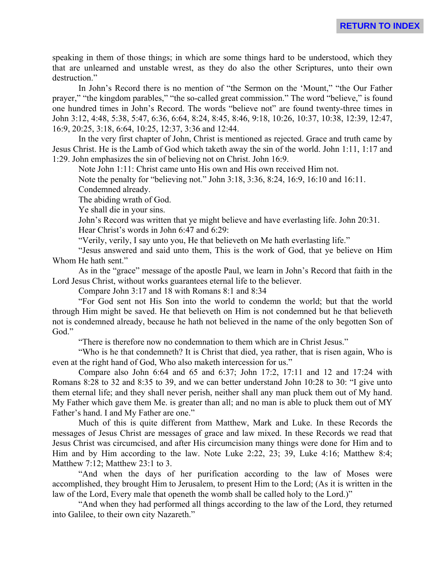speaking in them of those things; in which are some things hard to be understood, which they that are unlearned and unstable wrest, as they do also the other Scriptures, unto their own destruction."

In John's Record there is no mention of "the Sermon on the 'Mount," "the Our Father prayer," "the kingdom parables," "the so-called great commission." The word "believe," is found one hundred times in John's Record. The words "believe not" are found twenty-three times in John 3:12, 4:48, 5:38, 5:47, 6:36, 6:64, 8:24, 8:45, 8:46, 9:18, 10:26, 10:37, 10:38, 12:39, 12:47, 16:9, 20:25, 3:18, 6:64, 10:25, 12:37, 3:36 and 12:44.

In the very first chapter of John, Christ is mentioned as rejected. Grace and truth came by Jesus Christ. He is the Lamb of God which taketh away the sin of the world. John 1:11, 1:17 and 1:29. John emphasizes the sin of believing not on Christ. John 16:9.

Note John 1:11: Christ came unto His own and His own received Him not.

Note the penalty for "believing not." John 3:18, 3:36, 8:24, 16:9, 16:10 and 16:11.

Condemned already.

The abiding wrath of God.

Ye shall die in your sins.

John's Record was written that ye might believe and have everlasting life. John 20:31.

Hear Christ's words in John 6:47 and 6:29:

"Verily, verily, I say unto you, He that believeth on Me hath everlasting life."

"Jesus answered and said unto them, This is the work of God, that ye believe on Him Whom He hath sent."

As in the "grace" message of the apostle Paul, we learn in John's Record that faith in the Lord Jesus Christ, without works guarantees eternal life to the believer.

Compare John 3:17 and 18 with Romans 8:1 and 8:34

"For God sent not His Son into the world to condemn the world; but that the world through Him might be saved. He that believeth on Him is not condemned but he that believeth not is condemned already, because he hath not believed in the name of the only begotten Son of God."

"There is therefore now no condemnation to them which are in Christ Jesus."

"Who is he that condemneth? It is Christ that died, yea rather, that is risen again, Who is even at the right hand of God, Who also maketh intercession for us."

Compare also John 6:64 and 65 and 6:37; John 17:2, 17:11 and 12 and 17:24 with Romans 8:28 to 32 and 8:35 to 39, and we can better understand John 10:28 to 30: "I give unto them eternal life; and they shall never perish, neither shall any man pluck them out of My hand. My Father which gave them Me. is greater than all; and no man is able to pluck them out of MY Father's hand. I and My Father are one."

Much of this is quite different from Matthew, Mark and Luke. In these Records the messages of Jesus Christ are messages of grace and law mixed. In these Records we read that Jesus Christ was circumcised, and after His circumcision many things were done for Him and to Him and by Him according to the law. Note Luke 2:22, 23; 39, Luke 4:16; Matthew 8:4; Matthew 7:12; Matthew 23:1 to 3.

"And when the days of her purification according to the law of Moses were accomplished, they brought Him to Jerusalem, to present Him to the Lord; (As it is written in the law of the Lord, Every male that openeth the womb shall be called holy to the Lord.)"

"And when they had performed all things according to the law of the Lord, they returned into Galilee, to their own city Nazareth."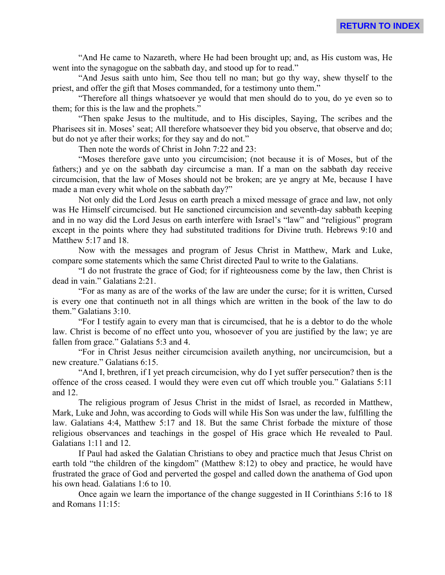"And He came to Nazareth, where He had been brought up; and, as His custom was, He went into the synagogue on the sabbath day, and stood up for to read."

"And Jesus saith unto him, See thou tell no man; but go thy way, shew thyself to the priest, and offer the gift that Moses commanded, for a testimony unto them."

"Therefore all things whatsoever ye would that men should do to you, do ye even so to them; for this is the law and the prophets."

"Then spake Jesus to the multitude, and to His disciples, Saying, The scribes and the Pharisees sit in. Moses' seat; All therefore whatsoever they bid you observe, that observe and do; but do not ye after their works; for they say and do not."

Then note the words of Christ in John 7:22 and 23:

"Moses therefore gave unto you circumcision; (not because it is of Moses, but of the fathers;) and ye on the sabbath day circumcise a man. If a man on the sabbath day receive circumcision, that the law of Moses should not be broken; are ye angry at Me, because I have made a man every whit whole on the sabbath day?"

Not only did the Lord Jesus on earth preach a mixed message of grace and law, not only was He Himself circumcised. but He sanctioned circumcision and seventh-day sabbath keeping and in no way did the Lord Jesus on earth interfere with Israel's "law" and "religious" program except in the points where they had substituted traditions for Divine truth. Hebrews 9:10 and Matthew 5:17 and 18.

Now with the messages and program of Jesus Christ in Matthew, Mark and Luke, compare some statements which the same Christ directed Paul to write to the Galatians.

"I do not frustrate the grace of God; for if righteousness come by the law, then Christ is dead in vain." Galatians 2:21.

"For as many as are of the works of the law are under the curse; for it is written, Cursed is every one that continueth not in all things which are written in the book of the law to do them." Galatians 3:10.

"For I testify again to every man that is circumcised, that he is a debtor to do the whole law. Christ is become of no effect unto you, whosoever of you are justified by the law; ye are fallen from grace." Galatians 5:3 and 4.

"For in Christ Jesus neither circumcision availeth anything, nor uncircumcision, but a new creature." Galatians 6:15.

"And I, brethren, if I yet preach circumcision, why do I yet suffer persecution? then is the offence of the cross ceased. I would they were even cut off which trouble you." Galatians 5:11 and 12.

The religious program of Jesus Christ in the midst of Israel, as recorded in Matthew, Mark, Luke and John, was according to Gods will while His Son was under the law, fulfilling the law. Galatians 4:4, Matthew 5:17 and 18. But the same Christ forbade the mixture of those religious observances and teachings in the gospel of His grace which He revealed to Paul. Galatians 1:11 and 12.

If Paul had asked the Galatian Christians to obey and practice much that Jesus Christ on earth told "the children of the kingdom" (Matthew 8:12) to obey and practice, he would have frustrated the grace of God and perverted the gospel and called down the anathema of God upon his own head. Galatians 1:6 to 10.

Once again we learn the importance of the change suggested in II Corinthians 5:16 to 18 and Romans 11:15: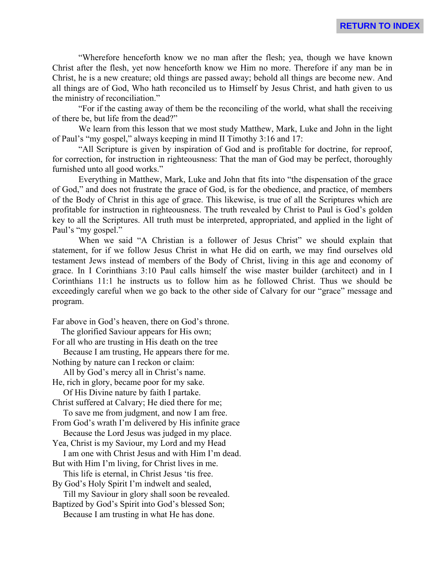"Wherefore henceforth know we no man after the flesh; yea, though we have known Christ after the flesh, yet now henceforth know we Him no more. Therefore if any man be in Christ, he is a new creature; old things are passed away; behold all things are become new. And all things are of God, Who hath reconciled us to Himself by Jesus Christ, and hath given to us the ministry of reconciliation."

"For if the casting away of them be the reconciling of the world, what shall the receiving of there be, but life from the dead?"

We learn from this lesson that we most study Matthew, Mark, Luke and John in the light of Paul's "my gospel," always keeping in mind II Timothy 3:16 and 17:

"All Scripture is given by inspiration of God and is profitable for doctrine, for reproof, for correction, for instruction in righteousness: That the man of God may be perfect, thoroughly furnished unto all good works."

Everything in Matthew, Mark, Luke and John that fits into "the dispensation of the grace of God," and does not frustrate the grace of God, is for the obedience, and practice, of members of the Body of Christ in this age of grace. This likewise, is true of all the Scriptures which are profitable for instruction in righteousness. The truth revealed by Christ to Paul is God's golden key to all the Scriptures. All truth must be interpreted, appropriated, and applied in the light of Paul's "my gospel."

When we said "A Christian is a follower of Jesus Christ" we should explain that statement, for if we follow Jesus Christ in what He did on earth, we may find ourselves old testament Jews instead of members of the Body of Christ, living in this age and economy of grace. In I Corinthians 3:10 Paul calls himself the wise master builder (architect) and in I Corinthians 11:1 he instructs us to follow him as he followed Christ. Thus we should be exceedingly careful when we go back to the other side of Calvary for our "grace" message and program.

Far above in God's heaven, there on God's throne.

 The glorified Saviour appears for His own; For all who are trusting in His death on the tree Because I am trusting, He appears there for me. Nothing by nature can I reckon or claim: All by God's mercy all in Christ's name.

He, rich in glory, became poor for my sake. Of His Divine nature by faith I partake.

Christ suffered at Calvary; He died there for me;

To save me from judgment, and now I am free.

From God's wrath I'm delivered by His infinite grace

Because the Lord Jesus was judged in my place.

Yea, Christ is my Saviour, my Lord and my Head I am one with Christ Jesus and with Him I'm dead.

But with Him I'm living, for Christ lives in me. This life is eternal, in Christ Jesus 'tis free.

By God's Holy Spirit I'm indwelt and sealed,

Till my Saviour in glory shall soon be revealed.

Baptized by God's Spirit into God's blessed Son;

Because I am trusting in what He has done.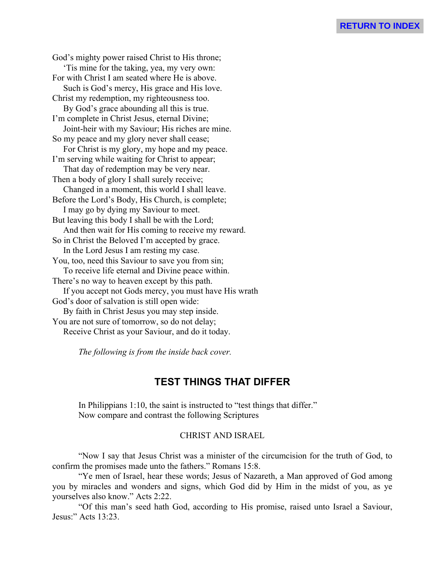God's mighty power raised Christ to His throne; 'Tis mine for the taking, yea, my very own: For with Christ I am seated where He is above. Such is God's mercy, His grace and His love. Christ my redemption, my righteousness too. By God's grace abounding all this is true. I'm complete in Christ Jesus, eternal Divine; Joint-heir with my Saviour; His riches are mine. So my peace and my glory never shall cease; For Christ is my glory, my hope and my peace. I'm serving while waiting for Christ to appear; That day of redemption may be very near. Then a body of glory I shall surely receive; Changed in a moment, this world I shall leave. Before the Lord's Body, His Church, is complete; I may go by dying my Saviour to meet. But leaving this body I shall be with the Lord; And then wait for His coming to receive my reward. So in Christ the Beloved I'm accepted by grace. In the Lord Jesus I am resting my case. You, too, need this Saviour to save you from sin; To receive life eternal and Divine peace within. There's no way to heaven except by this path. If you accept not Gods mercy, you must have His wrath God's door of salvation is still open wide: By faith in Christ Jesus you may step inside. You are not sure of tomorrow, so do not delay; Receive Christ as your Saviour, and do it today.

*The following is from the inside back cover.*

# **TEST THINGS THAT DIFFER**

In Philippians 1:10, the saint is instructed to "test things that differ." Now compare and contrast the following Scriptures

# CHRIST AND ISRAEL

"Now I say that Jesus Christ was a minister of the circumcision for the truth of God, to confirm the promises made unto the fathers." Romans 15:8.

"Ye men of Israel, hear these words; Jesus of Nazareth, a Man approved of God among you by miracles and wonders and signs, which God did by Him in the midst of you, as ye yourselves also know." Acts 2:22.

"Of this man's seed hath God, according to His promise, raised unto Israel a Saviour, Jesus:" Acts 13:23.